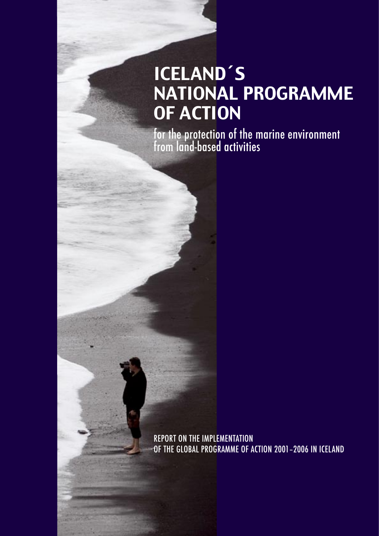# ICELAND´S NATIONAL PROGRAMME OF ACTION

for the protection of the marine environment from land-based activities

REPORT ON THE IMPLEMENTATION OF THE GLOBAL PROGRAMME OF ACTION 2001–2006 IN ICELAND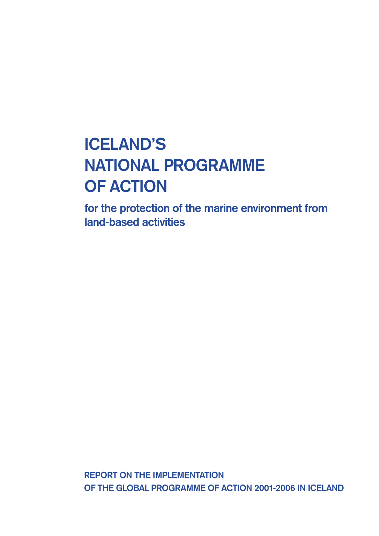# **ICELAND'S NATIONAL PROGRAMME OF ACTION**

**for the protection of the marine environment from land-based activities**

**REPORT ON THE IMPLEMENTATION OF THE GLOBAL PROGRAMME OF ACTION 2001-2006 IN ICELAND**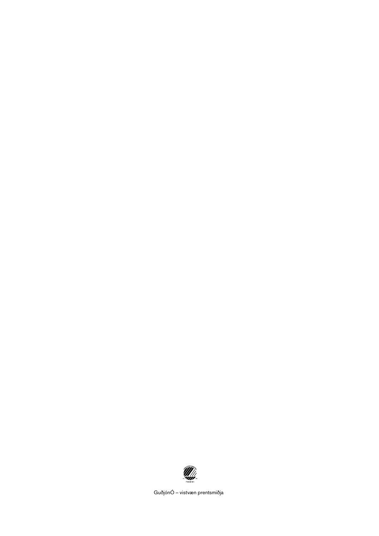

GuðjónÓ – vistvæn prentsmiðja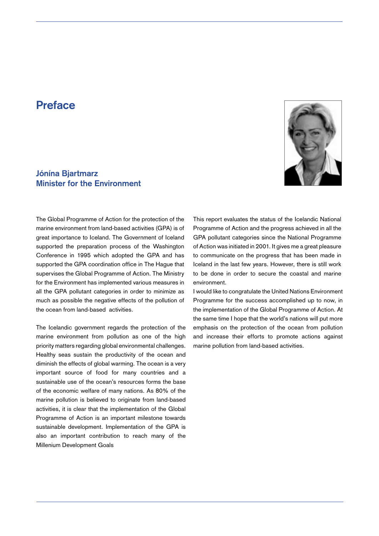# **Preface**

# **Jónína Bjartmarz Minister for the Environment**



The Global Programme of Action for the protection of the marine environment from land-based activities (GPA) is of great importance to Iceland. The Government of Iceland supported the preparation process of the Washington Conference in 1995 which adopted the GPA and has supported the GPA coordination office in The Hague that supervises the Global Programme of Action. The Ministry for the Environment has implemented various measures in all the GPA pollutant categories in order to minimize as much as possible the negative effects of the pollution of the ocean from land-based activities.

The Icelandic government regards the protection of the marine environment from pollution as one of the high priority matters regarding global environmental challenges. Healthy seas sustain the productivity of the ocean and diminish the effects of global warming. The ocean is a very important source of food for many countries and a sustainable use of the ocean's resources forms the base of the economic welfare of many nations. As 80% of the marine pollution is believed to originate from land-based activities, it is clear that the implementation of the Global Programme of Action is an important milestone towards sustainable development. Implementation of the GPA is also an important contribution to reach many of the Millenium Development Goals

This report evaluates the status of the Icelandic National Programme of Action and the progress achieved in all the GPA pollutant categories since the National Programme of Action was initiated in 2001. It gives me a great pleasure to communicate on the progress that has been made in Iceland in the last few years. However, there is still work to be done in order to secure the coastal and marine environment.

I would like to congratulate the United Nations Environment Programme for the success accomplished up to now, in the implementation of the Global Programme of Action. At the same time I hope that the world's nations will put more emphasis on the protection of the ocean from pollution and increase their efforts to promote actions against marine pollution from land-based activities.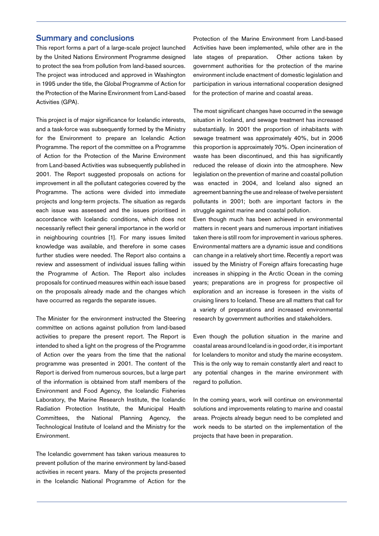## **Summary and conclusions**

This report forms a part of a large-scale project launched by the United Nations Environment Programme designed to protect the sea from pollution from land-based sources. The project was introduced and approved in Washington in 1995 under the title, the Global Programme of Action for the Protection of the Marine Environment from Land-based Activities (GPA).

This project is of major significance for Icelandic interests, and a task-force was subsequently formed by the Ministry for the Environment to prepare an Icelandic Action Programme. The report of the committee on a Programme of Action for the Protection of the Marine Environment from Land-based Activities was subsequently published in 2001. The Report suggested proposals on actions for improvement in all the pollutant categories covered by the Programme. The actions were divided into immediate projects and long-term projects. The situation as regards each issue was assessed and the issues prioritised in accordance with Icelandic conditions, which does not necessarily reflect their general importance in the world or in neighbouring countries [1]. For many issues limited knowledge was available, and therefore in some cases further studies were needed. The Report also contains a review and assessment of individual issues falling within the Programme of Action. The Report also includes proposals for continued measures within each issue based on the proposals already made and the changes which have occurred as regards the separate issues.

The Minister for the environment instructed the Steering committee on actions against pollution from land-based activities to prepare the present report. The Report is intended to shed a light on the progress of the Programme of Action over the years from the time that the national programme was presented in 2001. The content of the Report is derived from numerous sources, but a large part of the information is obtained from staff members of the Environment and Food Agency, the Icelandic Fisheries Laboratory, the Marine Research Institute, the Icelandic Radiation Protection Institute, the Municipal Health Committees, the National Planning Agency, the Technological Institute of Iceland and the Ministry for the Environment.

The Icelandic government has taken various measures to prevent pollution of the marine environment by land-based activities in recent years. Many of the projects presented in the Icelandic National Programme of Action for the

Protection of the Marine Environment from Land-based Activities have been implemented, while other are in the late stages of preparation. Other actions taken by government authorities for the protection of the marine environment include enactment of domestic legislation and participation in various international cooperation designed for the protection of marine and coastal areas.

The most significant changes have occurred in the sewage situation in Iceland, and sewage treatment has increased substantially. In 2001 the proportion of inhabitants with sewage treatment was approximately 40%, but in 2006 this proportion is approximately 70%. Open incineration of waste has been discontinued, and this has significantly reduced the release of dioxin into the atmosphere. New legislation on the prevention of marine and coastal pollution was enacted in 2004, and Iceland also signed an agreement banning the use and release of twelve persistent pollutants in 2001; both are important factors in the struggle against marine and coastal pollution.

Even though much has been achieved in environmental matters in recent years and numerous important initiatives taken there is still room for improvement in various spheres. Environmental matters are a dynamic issue and conditions can change in a relatively short time. Recently a report was issued by the Ministry of Foreign affairs forecasting huge increases in shipping in the Arctic Ocean in the coming years; preparations are in progress for prospective oil exploration and an increase is foreseen in the visits of cruising liners to Iceland. These are all matters that call for a variety of preparations and increased environmental research by government authorities and stakeholders.

Even though the pollution situation in the marine and coastal areas around Iceland is in good order, it is important for Icelanders to monitor and study the marine ecosystem. This is the only way to remain constantly alert and react to any potential changes in the marine environment with regard to pollution.

In the coming years, work will continue on environmental solutions and improvements relating to marine and coastal areas. Projects already begun need to be completed and work needs to be started on the implementation of the projects that have been in preparation.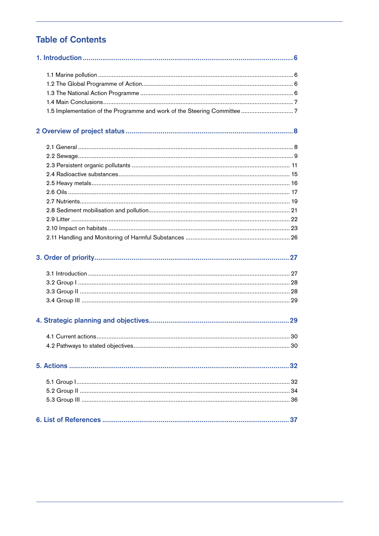# **Table of Contents**

| 4.1 Current actions | 30 |
|---------------------|----|
|                     |    |
|                     |    |
|                     |    |
|                     |    |
|                     |    |
|                     |    |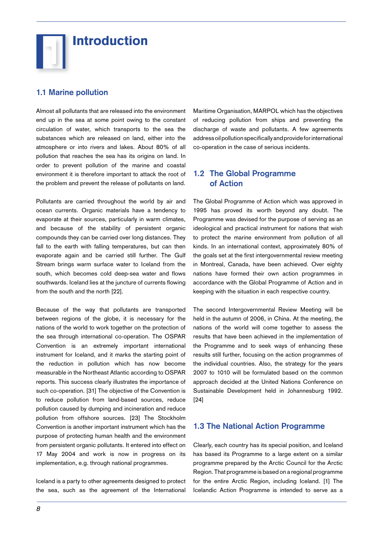

# **1.1 Marine pollution**

Almost all pollutants that are released into the environment end up in the sea at some point owing to the constant circulation of water, which transports to the sea the substances which are released on land, either into the atmosphere or into rivers and lakes. About 80% of all pollution that reaches the sea has its origins on land. In order to prevent pollution of the marine and coastal environment it is therefore important to attack the root of the problem and prevent the release of pollutants on land.

Pollutants are carried throughout the world by air and ocean currents. Organic materials have a tendency to evaporate at their sources, particularly in warm climates, and because of the stability of persistent organic compounds they can be carried over long distances. They fall to the earth with falling temperatures, but can then evaporate again and be carried still further. The Gulf Stream brings warm surface water to Iceland from the south, which becomes cold deep-sea water and flows southwards. Iceland lies at the juncture of currents flowing from the south and the north [22].

Because of the way that pollutants are transported between regions of the globe, it is necessary for the nations of the world to work together on the protection of the sea through international co-operation. The OSPAR Convention is an extremely important international instrument for Iceland, and it marks the starting point of the reduction in pollution which has now become measurable in the Northeast Atlantic according to OSPAR reports. This success clearly illustrates the importance of such co-operation. [31] The objective of the Convention is to reduce pollution from land-based sources, reduce pollution caused by dumping and incineration and reduce pollution from offshore sources. [23] The Stockholm Convention is another important instrument which has the purpose of protecting human health and the environment from persistent organic pollutants. It entered into effect on 17 May 2004 and work is now in progress on its implementation, e.g. through national programmes.

Iceland is a party to other agreements designed to protect the sea, such as the agreement of the International

Maritime Organisation, MARPOL which has the objectives of reducing pollution from ships and preventing the discharge of waste and pollutants. A few agreements address oil pollution specifically and provide for international co-operation in the case of serious incidents.

## **1.2 The Global Programme of Action**

The Global Programme of Action which was approved in 1995 has proved its worth beyond any doubt. The Programme was devised for the purpose of serving as an ideological and practical instrument for nations that wish to protect the marine environment from pollution of all kinds. In an international context, approximately 80% of the goals set at the first intergovernmental review meeting in Montreal, Canada, have been achieved. Over eighty nations have formed their own action programmes in accordance with the Global Programme of Action and in keeping with the situation in each respective country.

The second Intergovernmental Review Meeting will be held in the autumn of 2006, in China. At the meeting, the nations of the world will come together to assess the results that have been achieved in the implementation of the Programme and to seek ways of enhancing these results still further, focusing on the action programmes of the individual countries. Also, the strategy for the years 2007 to 1010 will be formulated based on the common approach decided at the United Nations Conference on Sustainable Development held in Johannesburg 1992. [24]

## **1.3 The National Action Programme**

Clearly, each country has its special position, and Iceland has based its Programme to a large extent on a similar programme prepared by the Arctic Council for the Arctic Region. That programme is based on a regional programme for the entire Arctic Region, including Iceland. [1] The Icelandic Action Programme is intended to serve as a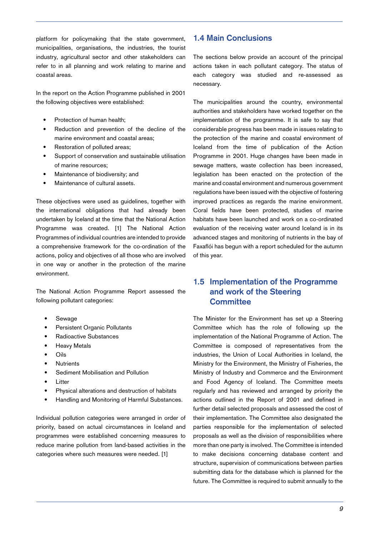platform for policymaking that the state government, municipalities, organisations, the industries, the tourist industry, agricultural sector and other stakeholders can refer to in all planning and work relating to marine and coastal areas.

In the report on the Action Programme published in 2001 the following objectives were established:

- Protection of human health; •
- Reduction and prevention of the decline of the marine environment and coastal areas; •
- Restoration of polluted areas; •
- Support of conservation and sustainable utilisation of marine resources; •
- Maintenance of biodiversity; and •
- Maintenance of cultural assets. •

These objectives were used as guidelines, together with the international obligations that had already been undertaken by Iceland at the time that the National Action Programme was created. [1] The National Action Programmes of individual countries are intended to provide a comprehensive framework for the co-ordination of the actions, policy and objectives of all those who are involved in one way or another in the protection of the marine environment.

The National Action Programme Report assessed the following pollutant categories:

- Sewage •
- Persistent Organic Pollutants •
- Radioactive Substances •
- Heavy Metals •
- Oils •
- **Nutrients** •
- Sediment Mobilisation and Pollution •
- Litter •
- Physical alterations and destruction of habitats •
- Handling and Monitoring of Harmful Substances. •

Individual pollution categories were arranged in order of priority, based on actual circumstances in Iceland and programmes were established concerning measures to reduce marine pollution from land-based activities in the categories where such measures were needed. [1]

## **1.4 Main Conclusions**

The sections below provide an account of the principal actions taken in each pollutant category. The status of each category was studied and re-assessed as necessary.

The municipalities around the country, environmental authorities and stakeholders have worked together on the implementation of the programme. It is safe to say that considerable progress has been made in issues relating to the protection of the marine and coastal environment of Iceland from the time of publication of the Action Programme in 2001. Huge changes have been made in sewage matters, waste collection has been increased, legislation has been enacted on the protection of the marine and coastal environment and numerous government regulations have been issued with the objective of fostering improved practices as regards the marine environment. Coral fields have been protected, studies of marine habitats have been launched and work on a co-ordinated evaluation of the receiving water around Iceland is in its advanced stages and monitoring of nutrients in the bay of Faxaflói has begun with a report scheduled for the autumn of this year.

# **1.5 Implementation of the Programme and work of the Steering Committee**

The Minister for the Environment has set up a Steering Committee which has the role of following up the implementation of the National Programme of Action. The Committee is composed of representatives from the industries, the Union of Local Authorities in Iceland, the Ministry for the Environment, the Ministry of Fisheries, the Ministry of Industry and Commerce and the Environment and Food Agency of Iceland. The Committee meets regularly and has reviewed and arranged by priority the actions outlined in the Report of 2001 and defined in further detail selected proposals and assessed the cost of their implementation. The Committee also designated the parties responsible for the implementation of selected proposals as well as the division of responsibilities where more than one party is involved. The Committee is intended to make decisions concerning database content and structure, supervision of communications between parties submitting data for the database which is planned for the future. The Committee is required to submit annually to the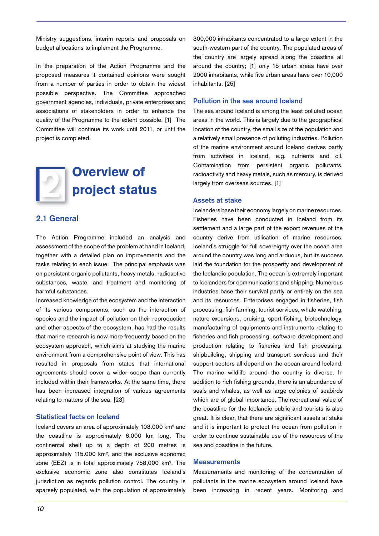Ministry suggestions, interim reports and proposals on budget allocations to implement the Programme.

In the preparation of the Action Programme and the proposed measures it contained opinions were sought from a number of parties in order to obtain the widest possible perspective. The Committee approached government agencies, individuals, private enterprises and associations of stakeholders in order to enhance the quality of the Programme to the extent possible. [1] The Committee will continue its work until 2011, or until the project is completed.



## **2.1 General**

The Action Programme included an analysis and assessment of the scope of the problem at hand in Iceland, together with a detailed plan on improvements and the tasks relating to each issue. The principal emphasis was on persistent organic pollutants, heavy metals, radioactive substances, waste, and treatment and monitoring of harmful substances.

Increased knowledge of the ecosystem and the interaction of its various components, such as the interaction of species and the impact of pollution on their reproduction and other aspects of the ecosystem, has had the results that marine research is now more frequently based on the ecosystem approach, which aims at studying the marine environment from a comprehensive point of view. This has resulted in proposals from states that international agreements should cover a wider scope than currently included within their frameworks. At the same time, there has been increased integration of various agreements relating to matters of the sea. [23]

## **Statistical facts on Iceland**

Iceland covers an area of approximately 103.000 km² and the coastline is approximately 6.000 km long. The continental shelf up to a depth of 200 metres is approximately 115.000 km², and the exclusive economic zone (EEZ) is in total approximately 758,000 km². The exclusive economic zone also constitutes Iceland's jurisdiction as regards pollution control. The country is sparsely populated, with the population of approximately

300,000 inhabitants concentrated to a large extent in the south-western part of the country. The populated areas of the country are largely spread along the coastline all around the country; [1] only 15 urban areas have over 2000 inhabitants, while five urban areas have over 10,000 inhabitants. [25]

#### **Pollution in the sea around Iceland**

The sea around Iceland is among the least polluted ocean areas in the world. This is largely due to the geographical location of the country, the small size of the population and a relatively small presence of polluting industries. Pollution of the marine environment around Iceland derives partly from activities in Iceland, e.g. nutrients and oil. Contamination from persistent organic pollutants, radioactivity and heavy metals, such as mercury, is derived largely from overseas sources. [1]

#### **Assets at stake**

Icelanders base their economy largely on marine resources. Fisheries have been conducted in Iceland from its settlement and a large part of the export revenues of the country derive from utilisation of marine resources. Iceland's struggle for full sovereignty over the ocean area around the country was long and arduous, but its success laid the foundation for the prosperity and development of the Icelandic population. The ocean is extremely important to Icelanders for communications and shipping. Numerous industries base their survival partly or entirely on the sea and its resources. Enterprises engaged in fisheries, fish processing, fish farming, tourist services, whale watching, nature excursions, cruising, sport fishing, biotechnology, manufacturing of equipments and instruments relating to fisheries and fish processing, software development and production relating to fisheries and fish processing, shipbuilding, shipping and transport services and their support sectors all depend on the ocean around Iceland. The marine wildlife around the country is diverse. In addition to rich fishing grounds, there is an abundance of seals and whales, as well as large colonies of seabirds which are of global importance. The recreational value of the coastline for the Icelandic public and tourists is also great. It is clear, that there are significant assets at stake and it is important to protect the ocean from pollution in order to continue sustainable use of the resources of the sea and coastline in the future.

#### **Measurements**

Measurements and monitoring of the concentration of pollutants in the marine ecosystem around Iceland have been increasing in recent years. Monitoring and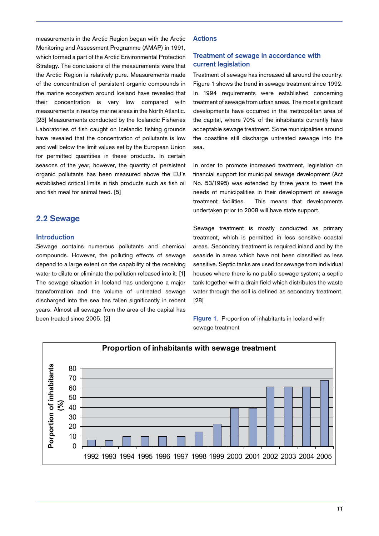measurements in the Arctic Region began with the Arctic Monitoring and Assessment Programme (AMAP) in 1991, which formed a part of the Arctic Environmental Protection Strategy. The conclusions of the measurements were that the Arctic Region is relatively pure. Measurements made of the concentration of persistent organic compounds in the marine ecosystem around Iceland have revealed that their concentration is very low compared with measurements in nearby marine areas in the North Atlantic. [23] Measurements conducted by the Icelandic Fisheries Laboratories of fish caught on Icelandic fishing grounds have revealed that the concentration of pollutants is low and well below the limit values set by the European Union for permitted quantities in these products. In certain seasons of the year, however, the quantity of persistent organic pollutants has been measured above the EU's established critical limits in fish products such as fish oil and fish meal for animal feed. [5]

## **2.2 Sewage**

#### **Introduction**

Sewage contains numerous pollutants and chemical compounds. However, the polluting effects of sewage depend to a large extent on the capability of the receiving water to dilute or eliminate the pollution released into it. [1] The sewage situation in Iceland has undergone a major transformation and the volume of untreated sewage discharged into the sea has fallen significantly in recent years. Almost all sewage from the area of the capital has been treated since 2005. [2]

#### **Actions**

## **Treatment of sewage in accordance with current legislation**

Treatment of sewage has increased all around the country. Figure 1 shows the trend in sewage treatment since 1992. In 1994 requirements were established concerning treatment of sewage from urban areas. The most significant developments have occurred in the metropolitan area of the capital, where 70% of the inhabitants currently have acceptable sewage treatment. Some municipalities around the coastline still discharge untreated sewage into the sea.

In order to promote increased treatment, legislation on financial support for municipal sewage development (Act No. 53/1995) was extended by three years to meet the needs of municipalities in their development of sewage treatment facilities. This means that developments undertaken prior to 2008 will have state support.

Sewage treatment is mostly conducted as primary treatment, which is permitted in less sensitive coastal areas. Secondary treatment is required inland and by the seaside in areas which have not been classified as less sensitive. Septic tanks are used for sewage from individual houses where there is no public sewage system; a septic tank together with a drain field which distributes the waste water through the soil is defined as secondary treatment. [28]

**Figure 1**. Proportion of inhabitants in Iceland with sewage treatment

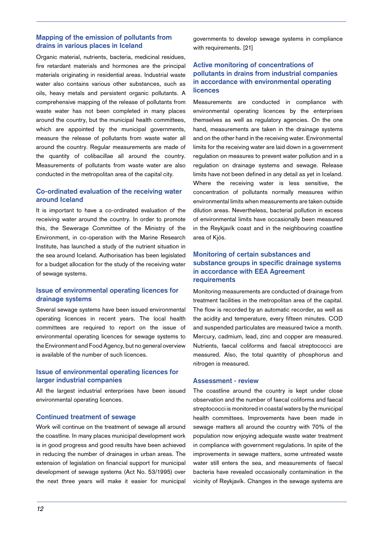## **Mapping of the emission of pollutants from drains in various places in Iceland**

Organic material, nutrients, bacteria, medicinal residues, fire retardant materials and hormones are the principal materials originating in residential areas. Industrial waste water also contains various other substances, such as oils, heavy metals and persistent organic pollutants. A comprehensive mapping of the release of pollutants from waste water has not been completed in many places around the country, but the municipal health committees, which are appointed by the municipal governments, measure the release of pollutants from waste water all around the country. Regular measurements are made of the quantity of colibacillae all around the country. Measurements of pollutants from waste water are also conducted in the metropolitan area of the capital city.

## **Co-ordinated evaluation of the receiving water around Iceland**

It is important to have a co-ordinated evaluation of the receiving water around the country. In order to promote this, the Sewerage Committee of the Ministry of the Environment, in co-operation with the Marine Research Institute, has launched a study of the nutrient situation in the sea around Iceland. Authorisation has been legislated for a budget allocation for the study of the receiving water of sewage systems.

## **Issue of environmental operating licences for drainage systems**

Several sewage systems have been issued environmental operating licences in recent years. The local health committees are required to report on the issue of environmental operating licences for sewage systems to the Environment and Food Agency, but no general overview is available of the number of such licences.

## **Issue of environmental operating licences for larger industrial companies**

All the largest industrial enterprises have been issued environmental operating licences.

#### **Continued treatment of sewage**

Work will continue on the treatment of sewage all around the coastline. In many places municipal development work is in good progress and good results have been achieved in reducing the number of drainages in urban areas. The extension of legislation on financial support for municipal development of sewage systems (Act No. 53/1995) over the next three years will make it easier for municipal governments to develop sewage systems in compliance with requirements. [21]

## **Active monitoring of concentrations of pollutants in drains from industrial companies in accordance with environmental operating licences**

Measurements are conducted in compliance with environmental operating licences by the enterprises themselves as well as regulatory agencies. On the one hand, measurements are taken in the drainage systems and on the other hand in the receiving water. Environmental limits for the receiving water are laid down in a government regulation on measures to prevent water pollution and in a regulation on drainage systems and sewage. Release limits have not been defined in any detail as yet in Iceland. Where the receiving water is less sensitive, the concentration of pollutants normally measures within environmental limits when measurements are taken outside dilution areas. Nevertheless, bacterial pollution in excess of environmental limits have occasionally been measured in the Reykjavík coast and in the neighbouring coastline area of Kjós.

## **Monitoring of certain substances and substance groups in specific drainage systems in accordance with EEA Agreement requirements**

Monitoring measurements are conducted of drainage from treatment facilities in the metropolitan area of the capital. The flow is recorded by an automatic recorder, as well as the acidity and temperature, every fifteen minutes. COD and suspended particulates are measured twice a month. Mercury, cadmium, lead, zinc and copper are measured. Nutrients, faecal coliforms and faecal streptococci are measured. Also, the total quantity of phosphorus and nitrogen is measured.

#### **Assessment - review**

The coastline around the country is kept under close observation and the number of faecal coliforms and faecal streptococci is monitored in coastal waters by the municipal health committees. Improvements have been made in sewage matters all around the country with 70% of the population now enjoying adequate waste water treatment in compliance with government regulations. In spite of the improvements in sewage matters, some untreated waste water still enters the sea, and measurements of faecal bacteria have revealed occasionally contamination in the vicinity of Reykjavík. Changes in the sewage systems are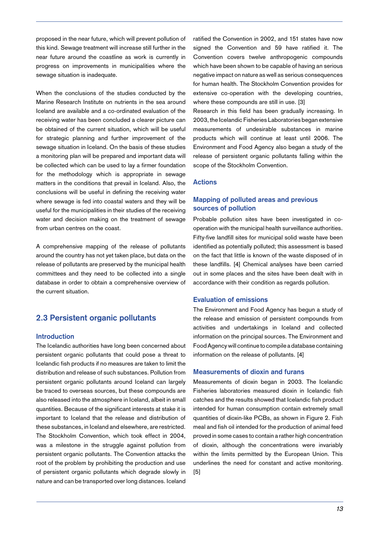proposed in the near future, which will prevent pollution of this kind. Sewage treatment will increase still further in the near future around the coastline as work is currently in progress on improvements in municipalities where the sewage situation is inadequate.

When the conclusions of the studies conducted by the Marine Research Institute on nutrients in the sea around Iceland are available and a co-ordinated evaluation of the receiving water has been concluded a clearer picture can be obtained of the current situation, which will be useful for strategic planning and further improvement of the sewage situation in Iceland. On the basis of these studies a monitoring plan will be prepared and important data will be collected which can be used to lay a firmer foundation for the methodology which is appropriate in sewage matters in the conditions that prevail in Iceland. Also, the conclusions will be useful in defining the receiving water where sewage is fed into coastal waters and they will be useful for the municipalities in their studies of the receiving water and decision making on the treatment of sewage from urban centres on the coast.

A comprehensive mapping of the release of pollutants around the country has not yet taken place, but data on the release of pollutants are preserved by the municipal health committees and they need to be collected into a single database in order to obtain a comprehensive overview of the current situation.

## **2.3 Persistent organic pollutants**

#### **Introduction**

The Icelandic authorities have long been concerned about persistent organic pollutants that could pose a threat to Icelandic fish products if no measures are taken to limit the distribution and release of such substances. Pollution from persistent organic pollutants around Iceland can largely be traced to overseas sources, but these compounds are also released into the atmosphere in Iceland, albeit in small quantities. Because of the significant interests at stake it is important to Iceland that the release and distribution of these substances, in Iceland and elsewhere, are restricted. The Stockholm Convention, which took effect in 2004, was a milestone in the struggle against pollution from persistent organic pollutants. The Convention attacks the root of the problem by prohibiting the production and use of persistent organic pollutants which degrade slowly in nature and can be transported over long distances. Iceland

ratified the Convention in 2002, and 151 states have now signed the Convention and 59 have ratified it. The Convention covers twelve anthropogenic compounds which have been shown to be capable of having an serious negative impact on nature as well as serious consequences for human health. The Stockholm Convention provides for extensive co-operation with the developing countries, where these compounds are still in use. [3]

Research in this field has been gradually increasing. In 2003, the Icelandic Fisheries Laboratories began extensive measurements of undesirable substances in marine products which will continue at least until 2006. The Environment and Food Agency also began a study of the release of persistent organic pollutants falling within the scope of the Stockholm Convention.

#### **Actions**

#### **Mapping of polluted areas and previous sources of pollution**

Probable pollution sites have been investigated in cooperation with the municipal health surveillance authorities. Fifty-five landfill sites for municipal solid waste have been identified as potentially polluted; this assessment is based on the fact that little is known of the waste disposed of in these landfills. [4] Chemical analyses have been carried out in some places and the sites have been dealt with in accordance with their condition as regards pollution.

#### **Evaluation of emissions**

The Environment and Food Agency has begun a study of the release and emission of persistent compounds from activities and undertakings in Iceland and collected information on the principal sources. The Environment and Food Agency will continue to compile a database containing information on the release of pollutants. [4]

#### **Measurements of dioxin and furans**

Measurements of dioxin began in 2003. The Icelandic Fisheries laboratories measured dioxin in Icelandic fish catches and the results showed that Icelandic fish product intended for human consumption contain extremely small quantities of dioxin-like PCBs, as shown in Figure 2. Fish meal and fish oil intended for the production of animal feed proved in some cases to contain a rather high concentration of dioxin, although the concentrations were invariably within the limits permitted by the European Union. This underlines the need for constant and active monitoring. [5]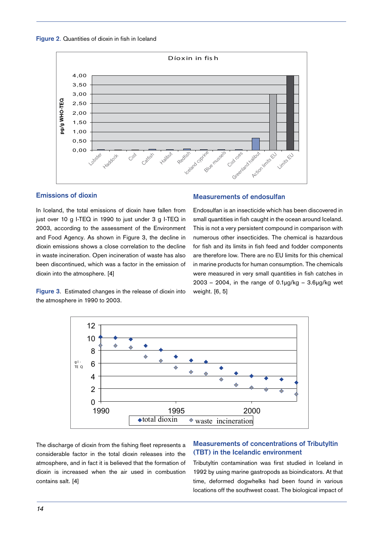



## **Emissions of dioxin**

In Iceland, the total emissions of dioxin have fallen from just over 10 g I-TEQ in 1990 to just under 3 g I-TEQ in 2003, according to the assessment of the Environment and Food Agency. As shown in Figure 3, the decline in dioxin emissions shows a close correlation to the decline in waste incineration. Open incineration of waste has also been discontinued, which was a factor in the emission of dioxin into the atmosphere. [4]

**Figure 3**. Estimated changes in the release of dioxin into the atmosphere in 1990 to 2003.

#### **Measurements of endosulfan**

Endosulfan is an insecticide which has been discovered in small quantities in fish caught in the ocean around Iceland. This is not a very persistent compound in comparison with numerous other insecticides. The chemical is hazardous for fish and its limits in fish feed and fodder components are therefore low. There are no EU limits for this chemical in marine products for human consumption. The chemicals were measured in very small quantities in fish catches in  $2003 - 2004$ , in the range of  $0.1\mu q/kg - 3.6\mu q/kg$  wet weight. [6, 5]



The discharge of dioxin from the fishing fleet represents a considerable factor in the total dioxin releases into the atmosphere, and in fact it is believed that the formation of dioxin is increased when the air used in combustion contains salt. [4]

## **Measurements of concentrations of Tributyltin (TBT) in the Icelandic environment**

Tributyltin contamination was first studied in Iceland in 1992 by using marine gastropods as bioindicators. At that time, deformed dogwhelks had been found in various locations off the southwest coast. The biological impact of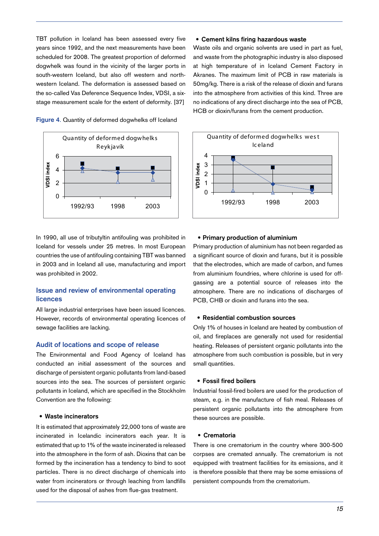TBT pollution in Iceland has been assessed every five years since 1992, and the next measurements have been scheduled for 2008. The greatest proportion of deformed dogwhelk was found in the vicinity of the larger ports in south-western Iceland, but also off western and northwestern Iceland. The deformation is assessed based on the so-called Vas Deference Sequence Index, VDSI, a sixstage measurement scale for the extent of deformity. [37]

**Figure 4**. Quantity of deformed dogwhelks off Iceland



In 1990, all use of tributyltin antifouling was prohibited in Iceland for vessels under 25 metres. In most European countries the use of antifouling containing TBT was banned in 2003 and in Iceland all use, manufacturing and import was prohibited in 2002.

## **Issue and review of environmental operating licences**

All large industrial enterprises have been issued licences. However, records of environmental operating licences of sewage facilities are lacking.

#### **Audit of locations and scope of release**

The Environmental and Food Agency of Iceland has conducted an initial assessment of the sources and discharge of persistent organic pollutants from land-based sources into the sea. The sources of persistent organic pollutants in Iceland, which are specified in the Stockholm Convention are the following:

#### **Waste incinerators •**

It is estimated that approximately 22,000 tons of waste are incinerated in Icelandic incinerators each year. It is estimated that up to 1% of the waste incinerated is released into the atmosphere in the form of ash. Dioxins that can be formed by the incineration has a tendency to bind to soot particles. There is no direct discharge of chemicals into water from incinerators or through leaching from landfills used for the disposal of ashes from flue-gas treatment.

#### **Cement kilns firing hazardous waste •**

Waste oils and organic solvents are used in part as fuel, and waste from the photographic industry is also disposed at high temperature of in Iceland Cement Factory in Akranes. The maximum limit of PCB in raw materials is 50mg/kg. There is a risk of the release of dioxin and furans into the atmosphere from activities of this kind. Three are no indications of any direct discharge into the sea of PCB, HCB or dioxin/furans from the cement production.



#### **Primary production of aluminium •**

Primary production of aluminium has not been regarded as a significant source of dioxin and furans, but it is possible that the electrodes, which are made of carbon, and fumes from aluminium foundries, where chlorine is used for offgassing are a potential source of releases into the atmosphere. There are no indications of discharges of PCB, CHB or dioxin and furans into the sea.

#### **Residential combustion sources •**

Only 1% of houses in Iceland are heated by combustion of oil, and fireplaces are generally not used for residential heating. Releases of persistent organic pollutants into the atmosphere from such combustion is possible, but in very small quantities.

#### **Fossil fired boilers •**

Industrial fossil-fired boilers are used for the production of steam, e.g. in the manufacture of fish meal. Releases of persistent organic pollutants into the atmosphere from these sources are possible.

#### **Crematoria •**

There is one crematorium in the country where 300-500 corpses are cremated annually. The crematorium is not equipped with treatment facilities for its emissions, and it is therefore possible that there may be some emissions of persistent compounds from the crematorium.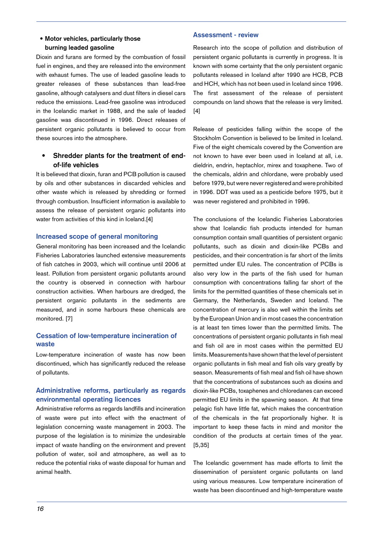## **Motor vehicles, particularly those • burning leaded gasoline**

Dioxin and furans are formed by the combustion of fossil fuel in engines, and they are released into the environment with exhaust fumes. The use of leaded gasoline leads to greater releases of these substances than lead-free gasoline, although catalysers and dust filters in diesel cars reduce the emissions. Lead-free gasoline was introduced in the Icelandic market in 1988, and the sale of leaded gasoline was discontinued in 1996. Direct releases of persistent organic pollutants is believed to occur from these sources into the atmosphere.

#### **Shredder plants for the treatment of endof-life vehicles •**

It is believed that dioxin, furan and PCB pollution is caused by oils and other substances in discarded vehicles and other waste which is released by shredding or formed through combustion. Insufficient information is available to assess the release of persistent organic pollutants into water from activities of this kind in Iceland.[4]

## **Increased scope of general monitoring**

General monitoring has been increased and the Icelandic Fisheries Laboratories launched extensive measurements of fish catches in 2003, which will continue until 2006 at least. Pollution from persistent organic pollutants around the country is observed in connection with harbour construction activities. When harbours are dredged, the persistent organic pollutants in the sediments are measured, and in some harbours these chemicals are monitored. [7]

## **Cessation of low-temperature incineration of waste**

Low-temperature incineration of waste has now been discontinued, which has significantly reduced the release of pollutants.

## **Administrative reforms, particularly as regards environmental operating licences**

Administrative reforms as regards landfills and incineration of waste were put into effect with the enactment of legislation concerning waste management in 2003. The purpose of the legislation is to minimize the undesirable impact of waste handling on the environment and prevent pollution of water, soil and atmosphere, as well as to reduce the potential risks of waste disposal for human and animal health.

## **Assessment - review**

Research into the scope of pollution and distribution of persistent organic pollutants is currently in progress. It is known with some certainty that the only persistent organic pollutants released in Iceland after 1990 are HCB, PCB and HCH, which has not been used in Iceland since 1996. The first assessment of the release of persistent compounds on land shows that the release is very limited. [4]

Release of pesticides falling within the scope of the Stockholm Convention is believed to be limited in Iceland. Five of the eight chemicals covered by the Convention are not known to have ever been used in Iceland at all, i.e. dieldrin, endrin, heptachlor, mirex and toxaphene. Two of the chemicals, aldrin and chlordane, were probably used before 1979, but were never registered and were prohibited in 1996. DDT was used as a pesticide before 1975, but it was never registered and prohibited in 1996.

The conclusions of the Icelandic Fisheries Laboratories show that Icelandic fish products intended for human consumption contain small quantities of persistent organic pollutants, such as dioxin and dioxin-like PCBs and pesticides, and their concentration is far short of the limits permitted under EU rules. The concentration of PCBs is also very low in the parts of the fish used for human consumption with concentrations falling far short of the limits for the permitted quantities of these chemicals set in Germany, the Netherlands, Sweden and Iceland. The concentration of mercury is also well within the limits set by the European Union and in most cases the concentration is at least ten times lower than the permitted limits. The concentrations of persistent organic pollutants in fish meal and fish oil are in most cases within the permitted EU limits. Measurements have shown that the level of persistent organic pollutants in fish meal and fish oils vary greatly by season. Measurements of fish meal and fish oil have shown that the concentrations of substances such as dioxins and dioxin-like PCBs, toxaphenes and chloredanes can exceed permitted EU limits in the spawning season. At that time pelagic fish have little fat, which makes the concentration of the chemicals in the fat proportionally higher. It is important to keep these facts in mind and monitor the condition of the products at certain times of the year. [5,35]

The Icelandic government has made efforts to limit the dissemination of persistent organic pollutants on land using various measures. Low temperature incineration of waste has been discontinued and high-temperature waste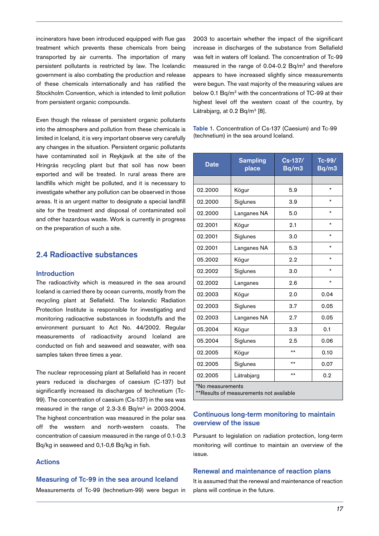incinerators have been introduced equipped with flue gas treatment which prevents these chemicals from being transported by air currents. The importation of many persistent pollutants is restricted by law. The Icelandic government is also combating the production and release of these chemicals internationally and has ratified the Stockholm Convention, which is intended to limit pollution from persistent organic compounds.

Even though the release of persistent organic pollutants into the atmosphere and pollution from these chemicals is limited in Iceland, it is very important observe very carefully any changes in the situation. Persistent organic pollutants have contaminated soil in Reykjavík at the site of the Hringrás recycling plant but that soil has now been exported and will be treated. In rural areas there are landfills which might be polluted, and it is necessary to investigate whether any pollution can be observed in those areas. It is an urgent matter to designate a special landfill site for the treatment and disposal of contaminated soil and other hazardous waste. Work is currently in progress on the preparation of such a site.

## **2.4 Radioactive substances**

#### **Introduction**

The radioactivity which is measured in the sea around Iceland is carried there by ocean currents, mostly from the recycling plant at Sellafield. The Icelandic Radiation Protection Institute is responsible for investigating and monitoring radioactive substances in foodstuffs and the environment pursuant to Act No. 44/2002. Regular measurements of radioactivity around Iceland are conducted on fish and seaweed and seawater, with sea samples taken three times a year.

The nuclear reprocessing plant at Sellafield has in recent years reduced is discharges of caesium (C-137) but significantly increased its discharges of technetium (Tc-99). The concentration of caesium (Cs-137) in the sea was measured in the range of  $2.3-3.6$  Bq/m<sup>3</sup> in  $2003-2004$ . The highest concentration was measured in the polar sea off the western and north-western coasts. The concentration of caesium measured in the range of 0.1-0.3 Bq/kg in seaweed and 0,1-0,6 Bq/kg in fish.

## **Actions**

#### **Measuring of Tc-99 in the sea around Iceland**

Measurements of Tc-99 (technetium-99) were begun in

2003 to ascertain whether the impact of the significant increase in discharges of the substance from Sellafield was felt in waters off Iceland. The concentration of Tc-99 measured in the range of  $0.04$ -0.2 Bq/m<sup>3</sup> and therefore appears to have increased slightly since measurements were begun. The vast majority of the measuring values are below 0.1 Bq/m<sup>3</sup> with the concentrations of TC-99 at their highest level off the western coast of the country, by Látrabjarg, at 0.2 Bq/m<sup>3</sup> [8].

**Table 1.** Concentration of Cs-137 (Caesium) and Tc-99 (technetium) in the sea around Iceland.

| <b>Date</b>                                                 | <b>Sampling</b><br>place | $Cs-137/$<br>Bq/m3 | $Tc-99/$<br>Bq/m3 |  |
|-------------------------------------------------------------|--------------------------|--------------------|-------------------|--|
|                                                             |                          |                    |                   |  |
| 02.2000                                                     | Kögur                    | 5.9                | $\star$           |  |
| 02.2000                                                     | Siglunes                 | 3.9                | $\star$           |  |
| 02.2000                                                     | Langanes NA              | 5.0                | *                 |  |
| 02.2001                                                     | Kögur                    | 2.1                | $\star$           |  |
| 02.2001                                                     | Siglunes                 | 3.0                | $\star$           |  |
| 02.2001                                                     | Langanes NA              | 5.3                | $\star$           |  |
| 05.2002                                                     | Kögur                    | 2.2                | $\star$           |  |
| 02.2002                                                     | Siglunes                 | 3.0                | *                 |  |
| 02.2002                                                     | Langanes                 | 2.6                | $\star$           |  |
| 02.2003                                                     | Kögur                    | 2.0                | 0.04              |  |
| 02.2003                                                     | Siglunes                 | 3.7                | 0.05              |  |
| 02.2003                                                     | Langanes NA              | 2.7                | 0.05              |  |
| 05.2004                                                     | Kögur                    | 3.3                | 0.1               |  |
| 05.2004                                                     | Siglunes                 | 2.5                | 0.06              |  |
| 02.2005                                                     | Kögur                    | $***$              | 0.10              |  |
| 02.2005                                                     | Siglunes                 | $***$              | 0.07              |  |
| 02.2005                                                     | Látrabjarg               | $***$              | 0.2               |  |
| *No measurements<br>**Results of measurements not available |                          |                    |                   |  |

## **Continuous long-term monitoring to maintain overview of the issue**

Pursuant to legislation on radiation protection, long-term monitoring will continue to maintain an overview of the issue.

#### **Renewal and maintenance of reaction plans**

It is assumed that the renewal and maintenance of reaction plans will continue in the future.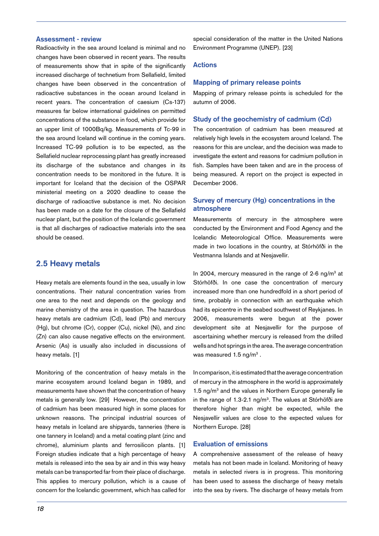#### **Assessment - review**

Radioactivity in the sea around Iceland is minimal and no changes have been observed in recent years. The results of measurements show that in spite of the significantly increased discharge of technetium from Sellafield, limited changes have been observed in the concentration of radioactive substances in the ocean around Iceland in recent years. The concentration of caesium (Cs-137) measures far below international guidelines on permitted concentrations of the substance in food, which provide for an upper limit of 1000Bq/kg. Measurements of Tc-99 in the sea around Iceland will continue in the coming years. Increased TC-99 pollution is to be expected, as the Sellafield nuclear reprocessing plant has greatly increased its discharge of the substance and changes in its concentration needs to be monitored in the future. It is important for Iceland that the decision of the OSPAR ministerial meeting on a 2020 deadline to cease the discharge of radioactive substance is met. No decision has been made on a date for the closure of the Sellafield nuclear plant, but the position of the Icelandic government is that all discharges of radioactive materials into the sea should be ceased.

## **2.5 Heavy metals**

Heavy metals are elements found in the sea, usually in low concentrations. Their natural concentration varies from one area to the next and depends on the geology and marine chemistry of the area in question. The hazardous heavy metals are cadmium (Cd), lead (Pb) and mercury (Hg), but chrome (Cr), copper (Cu), nickel (Ni), and zinc (Zn) can also cause negative effects on the environment. Arsenic (As) is usually also included in discussions of heavy metals. [1]

Monitoring of the concentration of heavy metals in the marine ecosystem around Iceland began in 1989, and measurements have shown that the concentration of heavy metals is generally low. [29] However, the concentration of cadmium has been measured high in some places for unknown reasons. The principal industrial sources of heavy metals in Iceland are shipyards, tanneries (there is one tannery in Iceland) and a metal coating plant (zinc and chrome), aluminium plants and ferrosilicon plants. [1] Foreign studies indicate that a high percentage of heavy metals is released into the sea by air and in this way heavy metals can be transported far from their place of discharge. This applies to mercury pollution, which is a cause of concern for the Icelandic government, which has called for

special consideration of the matter in the United Nations Environment Programme (UNEP). [23]

#### **Actions**

#### **Mapping of primary release points**

Mapping of primary release points is scheduled for the autumn of 2006.

#### **Study of the geochemistry of cadmium (Cd)**

The concentration of cadmium has been measured at relatively high levels in the ecosystem around Iceland. The reasons for this are unclear, and the decision was made to investigate the extent and reasons for cadmium pollution in fish. Samples have been taken and are in the process of being measured. A report on the project is expected in December 2006.

## **Survey of mercury (Hg) concentrations in the atmosphere**

Measurements of mercury in the atmosphere were conducted by the Environment and Food Agency and the Icelandic Meteorological Office. Measurements were made in two locations in the country, at Stórhöfði in the Vestmanna Islands and at Nesjavellir.

In 2004, mercury measured in the range of 2-6 ng/ $m<sup>3</sup>$  at Stórhöfði. In one case the concentration of mercury increased more than one hundredfold in a short period of time, probably in connection with an earthquake which had its epicentre in the seabed southwest of Reykjanes. In 2006, measurements were begun at the power development site at Nesjavellir for the purpose of ascertaining whether mercury is released from the drilled wells and hot springs in the area. The average concentration was measured  $1.5$  ng/m<sup>3</sup>.

In comparison, it is estimated that the average concentration of mercury in the atmosphere in the world is approximately 1.5 ng/m<sup>3</sup> and the values in Northern Europe generally lie in the range of 1.3-2.1 ng/m<sup>3</sup>. The values at Stórhöfði are therefore higher than might be expected, while the Nesjavellir values are close to the expected values for Northern Europe. [28]

## **Evaluation of emissions**

A comprehensive assessment of the release of heavy metals has not been made in Iceland. Monitoring of heavy metals in selected rivers is in progress. This monitoring has been used to assess the discharge of heavy metals into the sea by rivers. The discharge of heavy metals from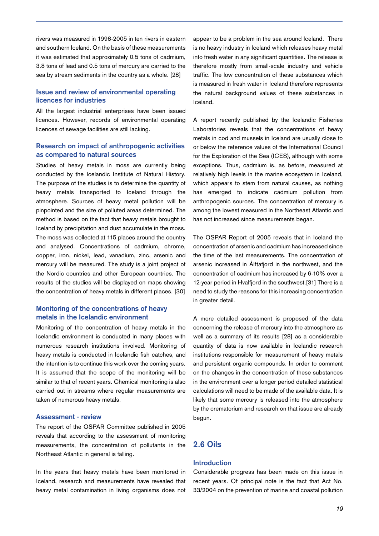rivers was measured in 1998-2005 in ten rivers in eastern and southern Iceland. On the basis of these measurements it was estimated that approximately 0.5 tons of cadmium, 3.8 tons of lead and 0.5 tons of mercury are carried to the sea by stream sediments in the country as a whole. [28]

## **Issue and review of environmental operating licences for industries**

All the largest industrial enterprises have been issued licences. However, records of environmental operating licences of sewage facilities are still lacking.

### **Research on impact of anthropogenic activities as compared to natural sources**

Studies of heavy metals in moss are currently being conducted by the Icelandic Institute of Natural History. The purpose of the studies is to determine the quantity of heavy metals transported to Iceland through the atmosphere. Sources of heavy metal pollution will be pinpointed and the size of polluted areas determined. The method is based on the fact that heavy metals brought to Iceland by precipitation and dust accumulate in the moss. The moss was collected at 115 places around the country and analysed. Concentrations of cadmium, chrome, copper, iron, nickel, lead, vanadium, zinc, arsenic and mercury will be measured. The study is a joint project of the Nordic countries and other European countries. The results of the studies will be displayed on maps showing the concentration of heavy metals in different places. [30]

## **Monitoring of the concentrations of heavy metals in the Icelandic environment**

Monitoring of the concentration of heavy metals in the Icelandic environment is conducted in many places with numerous research institutions involved. Monitoring of heavy metals is conducted in Icelandic fish catches, and the intention is to continue this work over the coming years. It is assumed that the scope of the monitoring will be similar to that of recent years. Chemical monitoring is also carried out in streams where regular measurements are taken of numerous heavy metals.

## **Assessment - review**

The report of the OSPAR Committee published in 2005 reveals that according to the assessment of monitoring measurements, the concentration of pollutants in the Northeast Atlantic in general is falling.

In the years that heavy metals have been monitored in Iceland, research and measurements have revealed that heavy metal contamination in living organisms does not appear to be a problem in the sea around Iceland. There is no heavy industry in Iceland which releases heavy metal into fresh water in any significant quantities. The release is therefore mostly from small-scale industry and vehicle traffic. The low concentration of these substances which is measured in fresh water in Iceland therefore represents the natural background values of these substances in Iceland.

A report recently published by the Icelandic Fisheries Laboratories reveals that the concentrations of heavy metals in cod and mussels in Iceland are usually close to or below the reference values of the International Council for the Exploration of the Sea (ICES), although with some exceptions. Thus, cadmium is, as before, measured at relatively high levels in the marine ecosystem in Iceland, which appears to stem from natural causes, as nothing has emerged to indicate cadmium pollution from anthropogenic sources. The concentration of mercury is among the lowest measured in the Northeast Atlantic and has not increased since measurements began.

The OSPAR Report of 2005 reveals that in Iceland the concentration of arsenic and cadmium has increased since the time of the last measurements. The concentration of arsenic increased in Álftafjord in the northwest, and the concentration of cadmium has increased by 6-10% over a 12-year period in Hvalfjord in the southwest.[31] There is a need to study the reasons for this increasing concentration in greater detail.

A more detailed assessment is proposed of the data concerning the release of mercury into the atmosphere as well as a summary of its results [28] as a considerable quantity of data is now available in Icelandic research institutions responsible for measurement of heavy metals and persistent organic compounds. In order to comment on the changes in the concentration of these substances in the environment over a longer period detailed statistical calculations will need to be made of the available data. It is likely that some mercury is released into the atmosphere by the crematorium and research on that issue are already begun.

## **2.6 Oils**

## **Introduction**

Considerable progress has been made on this issue in recent years. Of principal note is the fact that Act No. 33/2004 on the prevention of marine and coastal pollution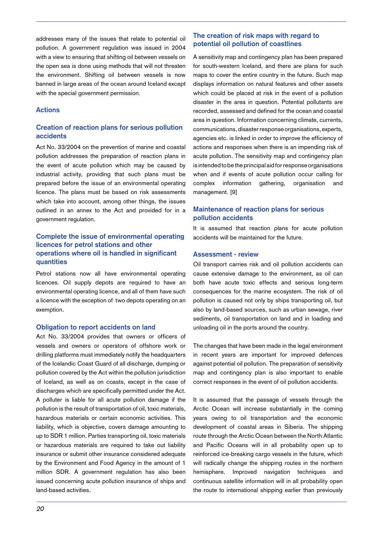addresses many of the issues that relate to potential oil pollution. A government regulation was issued in 2004 with a view to ensuring that shifting oil between vessels on the open sea is done using methods that will not threaten the environment. Shifting oil between vessels is now banned in large areas of the ocean around Iceland except with the special government permission.

#### **Actions**

## **Creation of reaction plans for serious pollution accidents**

Act No. 33/2004 on the prevention of marine and coastal pollution addresses the preparation of reaction plans in the event of acute pollution which may be caused by industrial activity, providing that such plans must be prepared before the issue of an environmental operating licence. The plans must be based on risk assessments which take into account, among other things, the issues outlined in an annex to the Act and provided for in a government regulation.

## **Complete the issue of environmental operating licences for petrol stations and other operations where oil is handled in significant quantities**

Petrol stations now all have environmental operating licences. Oil supply depots are required to have an environmental operating licence, and all of them have such a licence with the exception of two depots operating on an exemption.

#### **Obligation to report accidents on land**

Act No. 33/2004 provides that owners or officers of vessels and owners or operators of offshore work or drilling platforms must immediately notify the headquarters of the Icelandic Coast Guard of all discharge, dumping or pollution covered by the Act within the pollution jurisdiction of Iceland, as well as on coasts, except in the case of discharges which are specifically permitted under the Act. A polluter is liable for all acute pollution damage if the pollution is the result of transportation of oil, toxic materials, hazardous materials or certain economic activities. This liability, which is objective, covers damage amounting to up to SDR 1 million. Parties transporting oil, toxic materials or hazardous materials are required to take out liability insurance or submit other insurance considered adequate by the Environment and Food Agency in the amount of 1 million SDR. A government regulation has also been issued concerning acute pollution insurance of ships and land-based activities.

## **The creation of risk maps with regard to potential oil pollution of coastlines**

A sensitivity map and contingency plan has been prepared for south-western Iceland, and there are plans for such maps to cover the entire country in the future. Such map displays information on natural features and other assets which could be placed at risk in the event of a pollution disaster in the area in question. Potential pollutants are recorded, assessed and defined for the ocean and coastal area in question. Information concerning climate, currents, communications, disaster response organisations, experts, agencies etc. is linked in order to improve the efficiency of actions and responses when there is an impending risk of acute pollution. The sensitivity map and contingency plan is intended to be the principal aid for response organisations when and if events of acute pollution occur calling for complex information gathering, organisation and management. [9]

## **Maintenance of reaction plans for serious pollution accidents**

It is assumed that reaction plans for acute pollution accidents will be maintained for the future.

#### **Assessment - review**

Oil transport carries risk and oil pollution accidents can cause extensive damage to the environment, as oil can both have acute toxic effects and serious long-term consequences for the marine ecosystem. The risk of oil pollution is caused not only by ships transporting oil, but also by land-based sources, such as urban sewage, river sediments, oil transportation on land and in loading and unloading oil in the ports around the country.

The changes that have been made in the legal environment in recent years are important for improved defences against potential oil pollution. The preparation of sensitivity map and contingency plan is also important to enable correct responses in the event of oil pollution accidents.

It is assumed that the passage of vessels through the Arctic Ocean will increase substantially in the coming years owing to oil transportation and the economic development of coastal areas in Siberia. The shipping route through the Arctic Ocean between the North Atlantic and Pacific Oceans will in all probability open up to reinforced ice-breaking cargo vessels in the future, which will radically change the shipping routes in the northern hemisphere. Improved navigation techniques and continuous satellite information will in all probability open the route to international shipping earlier than previously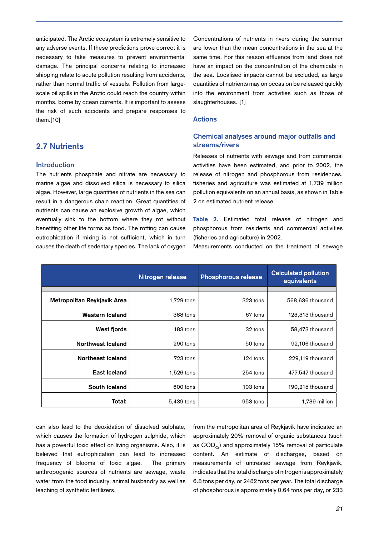anticipated. The Arctic ecosystem is extremely sensitive to any adverse events. If these predictions prove correct it is necessary to take measures to prevent environmental damage. The principal concerns relating to increased shipping relate to acute pollution resulting from accidents, rather than normal traffic of vessels. Pollution from largescale oil spills in the Arctic could reach the country within months, borne by ocean currents. It is important to assess the risk of such accidents and prepare responses to them.[10]

## **2.7 Nutrients**

#### **Introduction**

The nutrients phosphate and nitrate are necessary to marine algae and dissolved silica is necessary to silica algae. However, large quantities of nutrients in the sea can result in a dangerous chain reaction. Great quantities of nutrients can cause an explosive growth of algae, which eventually sink to the bottom where they rot without benefiting other life forms as food. The rotting can cause eutrophication if mixing is not sufficient, which in turn causes the death of sedentary species. The lack of oxygen

Concentrations of nutrients in rivers during the summer are lower than the mean concentrations in the sea at the same time. For this reason effluence from land does not have an impact on the concentration of the chemicals in the sea. Localised impacts cannot be excluded, as large quantities of nutrients may on occasion be released quickly into the environment from activities such as those of slaughterhouses. [1]

#### **Actions**

## **Chemical analyses around major outfalls and streams/rivers**

Releases of nutrients with sewage and from commercial activities have been estimated, and prior to 2002, the release of nitrogen and phosphorous from residences, fisheries and agriculture was estimated at 1,739 million pollution equivalents on an annual basis, as shown in Table 2 on estimated nutrient release.

**Table 2.** Estimated total release of nitrogen and phosphorous from residents and commercial activities (fisheries and agriculture) in 2002.

Measurements conducted on the treatment of sewage

|                             | Nitrogen release | <b>Phosphorous release</b> | <b>Calculated pollution</b><br>equivalents |
|-----------------------------|------------------|----------------------------|--------------------------------------------|
|                             |                  |                            |                                            |
| Metropolitan Reykjavik Area | 1,729 tons       | 323 tons                   | 568,636 thousand                           |
| Western Iceland             | 388 tons         | 67 tons                    | 123,313 thousand                           |
| West fjords                 | 183 tons         | 32 tons                    | 58,473 thousand                            |
| Northwest Iceland           | 290 tons         | 50 tons                    | 92,106 thousand                            |
| Northeast Iceland           | 723 tons         | 124 tons                   | 229,119 thousand                           |
| East Iceland                | 1,526 tons       | $254$ tons                 | 477,547 thousand                           |
| South Iceland               | 600 tons         | 103 tons                   | 190,215 thousand                           |
| Total:                      | 5,439 tons       | 953 tons                   | 1,739 million                              |

can also lead to the deoxidation of dissolved sulphate, which causes the formation of hydrogen sulphide, which has a powerful toxic effect on living organisms. Also, it is believed that eutrophication can lead to increased frequency of blooms of toxic algae. The primary anthropogenic sources of nutrients are sewage, waste water from the food industry, animal husbandry as well as leaching of synthetic fertilizers.

from the metropolitan area of Reykjavík have indicated an approximately 20% removal of organic substances (such as  $COD<sub>c</sub>$ ) and approximately 15% removal of particulate content. An estimate of discharges, based on measurements of untreated sewage from Reykjavík, indicates that the total discharge of nitrogen is approximately 6.8 tons per day, or 2482 tons per year. The total discharge of phosphorous is approximately 0.64 tons per day, or 233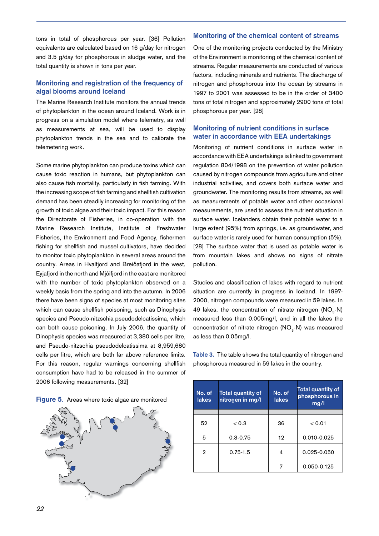tons in total of phosphorous per year. [36] Pollution equivalents are calculated based on 16 g/day for nitrogen and 3.5 g/day for phosphorous in sludge water, and the total quantity is shown in tons per year.

## **Monitoring and registration of the frequency of algal blooms around Iceland**

The Marine Research Institute monitors the annual trends of phytoplankton in the ocean around Iceland. Work is in progress on a simulation model where telemetry, as well as measurements at sea, will be used to display phytoplankton trends in the sea and to calibrate the telemetering work.

Some marine phytoplankton can produce toxins which can cause toxic reaction in humans, but phytoplankton can also cause fish mortality, particularly in fish farming. With the increasing scope of fish farming and shellfish cultivation demand has been steadily increasing for monitoring of the growth of toxic algae and their toxic impact. For this reason the Directorate of Fisheries, in co-operation with the Marine Research Institute, Institute of Freshwater Fisheries, the Environment and Food Agency, fishermen fishing for shellfish and mussel cultivators, have decided to monitor toxic phytoplankton in several areas around the country. Areas in Hvalfjord and Breiðafjord in the west, Eyjafjord in the north and Mjóifjord in the east are monitored with the number of toxic phytoplankton observed on a weekly basis from the spring and into the autumn. In 2006 there have been signs of species at most monitoring sites which can cause shellfish poisoning, such as Dinophysis species and Pseudo-nitzschia pseudodelcatissima, which can both cause poisoning. In July 2006, the quantity of Dinophysis species was measured at 3,380 cells per litre, and Pseudo-nitzschia pseudodelcatissima at 8,959,680 cells per litre, which are both far above reference limits. For this reason, regular warnings concerning shellfish consumption have had to be released in the summer of 2006 following measurements. [32]

| Figure 5. Areas where toxic algae are monitored |
|-------------------------------------------------|
|-------------------------------------------------|



#### **Monitoring of the chemical content of streams**

One of the monitoring projects conducted by the Ministry of the Environment is monitoring of the chemical content of streams. Regular measurements are conducted of various factors, including minerals and nutrients. The discharge of nitrogen and phosphorous into the ocean by streams in 1997 to 2001 was assessed to be in the order of 3400 tons of total nitrogen and approximately 2900 tons of total phosphorous per year. [28]

## **Monitoring of nutrient conditions in surface water in accordance with EEA undertakings**

Monitoring of nutrient conditions in surface water in accordance with EEA undertakings is linked to government regulation 804/1998 on the prevention of water pollution caused by nitrogen compounds from agriculture and other industrial activities, and covers both surface water and groundwater. The monitoring results from streams, as well as measurements of potable water and other occasional measurements, are used to assess the nutrient situation in surface water. Icelanders obtain their potable water to a large extent (95%) from springs, i.e. as groundwater, and surface water is rarely used for human consumption (5%). [28] The surface water that is used as potable water is from mountain lakes and shows no signs of nitrate pollution.

Studies and classification of lakes with regard to nutrient situation are currently in progress in Iceland. In 1997- 2000, nitrogen compounds were measured in 59 lakes. In 49 lakes, the concentration of nitrate nitrogen  $(NO<sub>3</sub>-N)$ measured less than 0.005mg/l, and in all the lakes the concentration of nitrate nitrogen (NO<sub>3</sub>-N) was measured as less than 0.05mg/l.

**Table 3.** The table shows the total quantity of nitrogen and phosphorous measured in 59 lakes in the country.

| No. of<br>lakes | <b>Total quantity of</b><br>nitrogen in mg/l | No. of<br><b>lakes</b> | Total quantity of<br>phosphorous in<br>mg/l |
|-----------------|----------------------------------------------|------------------------|---------------------------------------------|
|                 |                                              |                        |                                             |
| 52              | < 0.3                                        | 36                     | < 0.01                                      |
| 5               | $0.3 - 0.75$                                 | 12                     | 0.010-0.025                                 |
| $\mathbf{2}$    | $0.75 - 1.5$                                 | 4                      | 0.025-0.050                                 |
|                 |                                              | 7                      | 0.050-0.125                                 |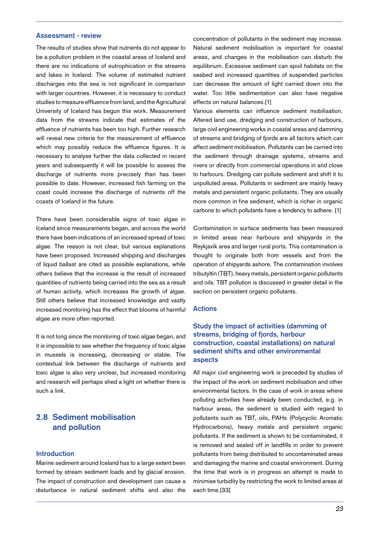#### **Assessment - review**

The results of studies show that nutrients do not appear to be a pollution problem in the coastal areas of Iceland and there are no indications of eutrophication in the streams and lakes in Iceland. The volume of estimated nutrient discharges into the sea is not significant in comparison with larger countries. However, it is necessary to conduct studies to measure effluence from land, and the Agricultural University of Iceland has begun this work. Measurement data from the streams indicate that estimates of the effluence of nutrients has been too high. Further research will reveal new criteria for the measurement of effluence which may possibly reduce the effluence figures. It is necessary to analyse further the data collected in recent years and subsequently it will be possible to assess the discharge of nutrients more precisely than has been possible to date. However, increased fish farming on the coast could increase the discharge of nutrients off the coasts of Iceland in the future.

There have been considerable signs of toxic algae in Iceland since measurements began, and across the world there have been indications of an increased spread of toxic algae. The reason is not clear, but various explanations have been proposed. Increased shipping and discharges of liquid ballast are cited as possible explanations, while others believe that the increase is the result of increased quantities of nutrients being carried into the sea as a result of human activity, which increases the growth of algae. Still others believe that increased knowledge and vastly increased monitoring has the effect that blooms of harmful algae are more often reported.

It is not long since the monitoring of toxic algae began, and it is impossible to see whether the frequency of toxic algae in mussels is increasing, decreasing or stable. The contextual link between the discharge of nutrients and toxic algae is also very unclear, but increased monitoring and research will perhaps shed a light on whether there is such a link.

# **2.8 Sediment mobilisation and pollution**

#### **Introduction**

Marine sediment around Iceland has to a large extent been formed by stream sediment loads and by glacial erosion. The impact of construction and development can cause a disturbance in natural sediment shifts and also the concentration of pollutants in the sediment may increase. Natural sediment mobilisation is important for coastal areas, and changes in the mobilisation can disturb the equilibrium. Excessive sediment can spoil habitats on the seabed and increased quantities of suspended particles can decrease the amount of light carried down into the water. Too little sedimentation can also have negative effects on natural balances.[1]

Various elements can influence sediment mobilisation. Altered land use, dredging and construction of harbours, large civil engineering works in coastal areas and damming of streams and bridging of fjords are all factors which can affect sediment mobilisation. Pollutants can be carried into the sediment through drainage systems, streams and rivers or directly from commercial operations in and close to harbours. Dredging can pollute sediment and shift it to unpolluted areas. Pollutants in sediment are mainly heavy metals and persistent organic pollutants. They are usually more common in fine sediment, which is richer in organic carbons to which pollutants have a tendency to adhere. [1]

Contamination in surface sediments has been measured in limited areas near harbours and shipyards in the Reykjavík area and larger rural ports. This contamination is thought to originate both from vessels and from the operation of shipyards ashore. The contamination involves tributyltin (TBT), heavy metals, persistent organic pollutants and oils. TBT pollution is discussed in greater detail in the section on persistent organic pollutants.

#### **Actions**

## **Study the impact of activities (damming of streams, bridging of fjords, harbour construction, coastal installations) on natural sediment shifts and other environmental aspects**

All major civil engineering work is preceded by studies of the impact of the work on sediment mobilisation and other environmental factors. In the case of work in areas where polluting activities have already been conducted, e.g. in harbour areas, the sediment is studied with regard to pollutants such as TBT, oils, PAHs (Polycyclic Aromatic Hydrocarbons), heavy metals and persistent organic pollutants. If the sediment is shown to be contaminated, it is removed and sealed off in landfills in order to prevent pollutants from being distributed to uncontaminated areas and damaging the marine and coastal environment. During the time that work is in progress an attempt is made to minimise turbidity by restricting the work to limited areas at each time.[33]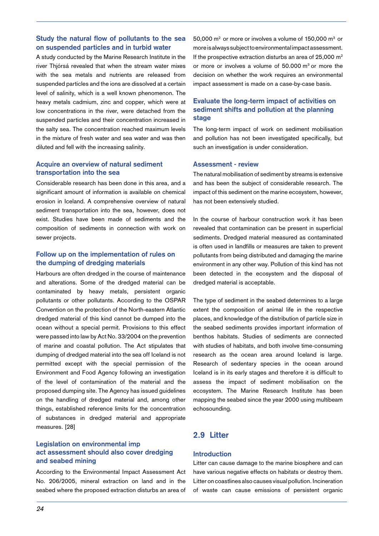## **Study the natural flow of pollutants to the sea on suspended particles and in turbid water**

A study conducted by the Marine Research Institute in the river Thjórsá revealed that when the stream water mixes with the sea metals and nutrients are released from suspended particles and the ions are dissolved at a certain level of salinity, which is a well known phenomenon. The heavy metals cadmium, zinc and copper, which were at low concentrations in the river, were detached from the suspended particles and their concentration increased in the salty sea. The concentration reached maximum levels in the mixture of fresh water and sea water and was then diluted and fell with the increasing salinity.

## **Acquire an overview of natural sediment transportation into the sea**

Considerable research has been done in this area, and a significant amount of information is available on chemical erosion in Iceland. A comprehensive overview of natural sediment transportation into the sea, however, does not exist. Studies have been made of sediments and the composition of sediments in connection with work on sewer projects.

## **Follow up on the implementation of rules on the dumping of dredging materials**

Harbours are often dredged in the course of maintenance and alterations. Some of the dredged material can be contaminated by heavy metals, persistent organic pollutants or other pollutants. According to the OSPAR Convention on the protection of the North-eastern Atlantic dredged material of this kind cannot be dumped into the ocean without a special permit. Provisions to this effect were passed into law by Act No. 33/2004 on the prevention of marine and coastal pollution. The Act stipulates that dumping of dredged material into the sea off Iceland is not permitted except with the special permission of the Environment and Food Agency following an investigation of the level of contamination of the material and the proposed dumping site. The Agency has issued guidelines on the handling of dredged material and, among other things, established reference limits for the concentration of substances in dredged material and appropriate measures. [28]

## **Legislation on environmental imp act assessment should also cover dredging and seabed mining**

According to the Environmental Impact Assessment Act No. 206/2005, mineral extraction on land and in the seabed where the proposed extraction disturbs an area of 50,000 m<sup>2</sup> or more or involves a volume of 150,000 m<sup>3</sup> or more is always subject to environmental impact assessment. If the prospective extraction disturbs an area of  $25,000$  m<sup>2</sup> or more or involves a volume of 50.000 m<sup>3</sup> or more the decision on whether the work requires an environmental impact assessment is made on a case-by-case basis.

## **Evaluate the long-term impact of activities on sediment shifts and pollution at the planning stage**

The long-term impact of work on sediment mobilisation and pollution has not been investigated specifically, but such an investigation is under consideration.

#### **Assessment - review**

The natural mobilisation of sediment by streams is extensive and has been the subject of considerable research. The impact of this sediment on the marine ecosystem, however, has not been extensively studied.

In the course of harbour construction work it has been revealed that contamination can be present in superficial sediments. Dredged material measured as contaminated is often used in landfills or measures are taken to prevent pollutants from being distributed and damaging the marine environment in any other way. Pollution of this kind has not been detected in the ecosystem and the disposal of dredged material is acceptable.

The type of sediment in the seabed determines to a large extent the composition of animal life in the respective places, and knowledge of the distribution of particle size in the seabed sediments provides important information of benthos habitats. Studies of sediments are connected with studies of habitats, and both involve time-consuming research as the ocean area around Iceland is large. Research of sedentary species in the ocean around Iceland is in its early stages and therefore it is difficult to assess the impact of sediment mobilisation on the ecosystem. The Marine Research Institute has been mapping the seabed since the year 2000 using multibeam echosounding.

# **2.9 Litter**

## **Introduction**

Litter can cause damage to the marine biosphere and can have various negative effects on habitats or destroy them. Litter on coastlines also causes visual pollution. Incineration of waste can cause emissions of persistent organic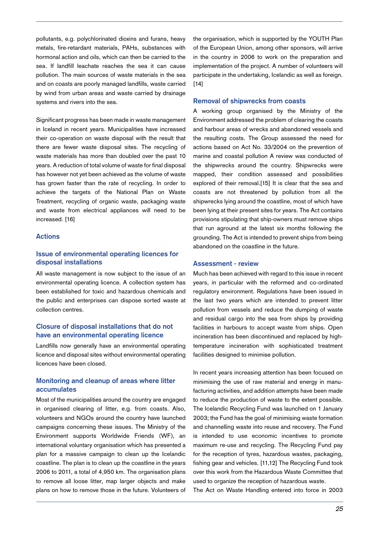pollutants, e.g. polychlorinated dioxins and furans, heavy metals, fire-retardant materials, PAHs, substances with hormonal action and oils, which can then be carried to the sea. If landfill leachate reaches the sea it can cause pollution. The main sources of waste materials in the sea and on coasts are poorly managed landfills, waste carried by wind from urban areas and waste carried by drainage systems and rivers into the sea.

Significant progress has been made in waste management in Iceland in recent years. Municipalities have increased their co-operation on waste disposal with the result that there are fewer waste disposal sites. The recycling of waste materials has more than doubled over the past 10 years. A reduction of total volume of waste for final disposal has however not yet been achieved as the volume of waste has grown faster than the rate of recycling. In order to achieve the targets of the National Plan on Waste Treatment, recycling of organic waste, packaging waste and waste from electrical appliances will need to be increased. [16]

## **Actions**

## **Issue of environmental operating licences for disposal installations**

All waste management is now subject to the issue of an environmental operating licence. A collection system has been established for toxic and hazardous chemicals and the public and enterprises can dispose sorted waste at collection centres.

## **Closure of disposal installations that do not have an environmental operating licence**

Landfills now generally have an environmental operating licence and disposal sites without environmental operating licences have been closed.

## **Monitoring and cleanup of areas where litter accumulates**

Most of the municipalities around the country are engaged in organised clearing of litter, e.g. from coasts. Also, volunteers and NGOs around the country have launched campaigns concerning these issues. The Ministry of the Environment supports Worldwide Friends (WF), an international voluntary organisation which has presented a plan for a massive campaign to clean up the Icelandic coastline. The plan is to clean up the coastline in the years 2006 to 2011, a total of 4,950 km. The organisation plans to remove all loose litter, map larger objects and make plans on how to remove those in the future. Volunteers of the organisation, which is supported by the YOUTH Plan of the European Union, among other sponsors, will arrive in the country in 2006 to work on the preparation and implementation of the project. A number of volunteers will participate in the undertaking, Icelandic as well as foreign.  $[14]$ 

#### **Removal of shipwrecks from coasts**

A working group organised by the Ministry of the Environment addressed the problem of clearing the coasts and harbour areas of wrecks and abandoned vessels and the resulting costs. The Group assessed the need for actions based on Act No. 33/2004 on the prevention of marine and coastal pollution A review was conducted of the shipwrecks around the country. Shipwrecks were mapped, their condition assessed and possibilities explored of their removal.[15] It is clear that the sea and coasts are not threatened by pollution from all the shipwrecks lying around the coastline, most of which have been lying at their present sites for years. The Act contains provisions stipulating that ship-owners must remove ships that run aground at the latest six months following the grounding. The Act is intended to prevent ships from being abandoned on the coastline in the future.

## **Assessment - review**

Much has been achieved with regard to this issue in recent years, in particular with the reformed and co-ordinated regulatory environment. Regulations have been issued in the last two years which are intended to prevent litter pollution from vessels and reduce the dumping of waste and residual cargo into the sea from ships by providing facilities in harbours to accept waste from ships. Open incineration has been discontinued and replaced by hightemperature incineration with sophisticated treatment facilities designed to minimise pollution.

In recent years increasing attention has been focused on minimising the use of raw material and energy in manufacturing activities, and addition attempts have been made to reduce the production of waste to the extent possible. The Icelandic Recycling Fund was launched on 1 January 2003; the Fund has the goal of minimising waste formation and channelling waste into reuse and recovery. The Fund is intended to use economic incentives to promote maximum re-use and recycling. The Recycling Fund pay for the reception of tyres, hazardous wastes, packaging, fishing gear and vehicles. [11,12] The Recycling Fund took over this work from the Hazardous Waste Committee that used to organize the reception of hazardous waste.

The Act on Waste Handling entered into force in 2003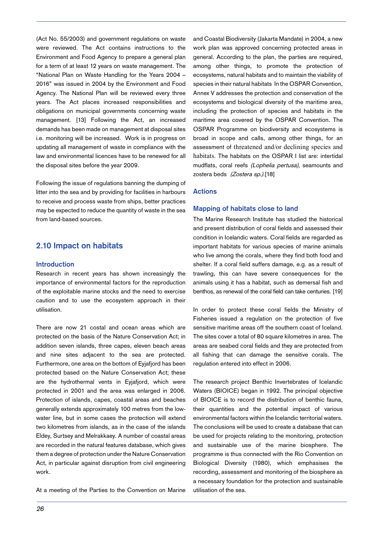(Act No. 55/2003) and government regulations on waste were reviewed. The Act contains instructions to the Environment and Food Agency to prepare a general plan for a term of at least 12 years on waste management. The "National Plan on Waste Handling for the Years 2004 – 2016" was issued in 2004 by the Environment and Food Agency. The National Plan will be reviewed every three years. The Act places increased responsibilities and obligations on municipal governments concerning waste management. [13] Following the Act, an increased demands has been made on management at disposal sites i.e. monitoring will be increased. Work is in progress on updating all management of waste in compliance with the law and environmental licences have to be renewed for all the disposal sites before the year 2009.

Following the issue of regulations banning the dumping of litter into the sea and by providing for facilities in harbours to receive and process waste from ships, better practices may be expected to reduce the quantity of waste in the sea from land-based sources.

## **2.10 Impact on habitats**

#### **Introduction**

Research in recent years has shown increasingly the importance of environmental factors for the reproduction of the exploitable marine stocks and the need to exercise caution and to use the ecosystem approach in their utilisation.

There are now 21 costal and ocean areas which are protected on the basis of the Nature Conservation Act; in addition seven islands, three capes, eleven beach areas and nine sites adjacent to the sea are protected. Furthermore, one area on the bottom of Eyjafjord has been protected based on the Nature Conservation Act; these are the hydrothermal vents in Eyjafjord, which were protected in 2001 and the area was enlarged in 2006. Protection of islands, capes, coastal areas and beaches generally extends approximately 100 metres from the lowwater line, but in some cases the protection will extend two kilometres from islands, as in the case of the islands Eldey, Surtsey and Melrakkaey. A number of coastal areas are recorded in the natural features database, which gives them a degree of protection under the Nature Conservation Act, in particular against disruption from civil engineering work.

At a meeting of the Parties to the Convention on Marine

and Coastal Biodiversity (Jakarta Mandate) in 2004, a new work plan was approved concerning protected areas in general. According to the plan, the parties are required, among other things, to promote the protection of ecosystems, natural habitats and to maintain the viability of species in their natural habitats In the OSPAR Convention, Annex V addresses the protection and conservation of the ecosystems and biological diversity of the maritime area, including the protection of species and habitats in the maritime area covered by the OSPAR Convention. The OSPAR Programme on biodiversity and ecosystems is broad in scope and calls, among other things, for an assessment of threatened and/or declining species and habitats. The habitats on the OSPAR I list are: intertidal mudflats, coral reefs (Lophelia pertusa), seamounts and zostera beds (Zostera sp.).[18]

## **Actions**

#### **Mapping of habitats close to land**

The Marine Research Institute has studied the historical and present distribution of coral fields and assessed their condition in Icelandic waters. Coral fields are regarded as important habitats for various species of marine animals who live among the corals, where they find both food and shelter. If a coral field suffers damage, e.g. as a result of trawling, this can have severe consequences for the animals using it has a habitat, such as demersal fish and benthos, as renewal of the coral field can take centuries. [19]

In order to protect these coral fields the Ministry of Fisheries issued a regulation on the protection of five sensitive maritime areas off the southern coast of Iceland. The sites cover a total of 80 square kilometres in area. The areas are seabed coral fields and they are protected from all fishing that can damage the sensitive corals. The regulation entered into effect in 2006.

The research project Benthic Invertebrates of Icelandic Waters (BIOICE) began in 1992. The principal objective of BIOICE is to record the distribution of benthic fauna, their quantities and the potential impact of various environmental factors within the Icelandic territorial waters. The conclusions will be used to create a database that can be used for projects relating to the monitoring, protection and sustainable use of the marine biosphere. The programme is thus connected with the Rio Convention on Biological Diversity (1980), which emphasises the recording, assessment and monitoring of the biosphere as a necessary foundation for the protection and sustainable utilisation of the sea.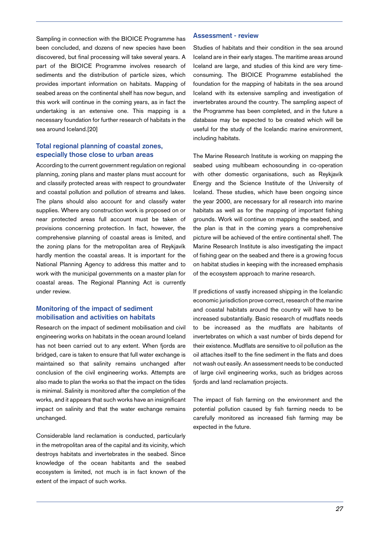Sampling in connection with the BIOICE Programme has been concluded, and dozens of new species have been discovered, but final processing will take several years. A part of the BIOICE Programme involves research of sediments and the distribution of particle sizes, which provides important information on habitats. Mapping of seabed areas on the continental shelf has now begun, and this work will continue in the coming years, as in fact the undertaking is an extensive one. This mapping is a necessary foundation for further research of habitats in the sea around Iceland.[20]

## **Total regional planning of coastal zones, especially those close to urban areas**

According to the current government regulation on regional planning, zoning plans and master plans must account for and classify protected areas with respect to groundwater and coastal pollution and pollution of streams and lakes. The plans should also account for and classify water supplies. Where any construction work is proposed on or near protected areas full account must be taken of provisions concerning protection. In fact, however, the comprehensive planning of coastal areas is limited, and the zoning plans for the metropolitan area of Reykjavík hardly mention the coastal areas. It is important for the National Planning Agency to address this matter and to work with the municipal governments on a master plan for coastal areas. The Regional Planning Act is currently under review.

## **Monitoring of the impact of sediment mobilisation and activities on habitats**

Research on the impact of sediment mobilisation and civil engineering works on habitats in the ocean around Iceland has not been carried out to any extent. When fjords are bridged, care is taken to ensure that full water exchange is maintained so that salinity remains unchanged after conclusion of the civil engineering works. Attempts are also made to plan the works so that the impact on the tides is minimal. Salinity is monitored after the completion of the works, and it appears that such works have an insignificant impact on salinity and that the water exchange remains unchanged.

Considerable land reclamation is conducted, particularly in the metropolitan area of the capital and its vicinity, which destroys habitats and invertebrates in the seabed. Since knowledge of the ocean habitants and the seabed ecosystem is limited, not much is in fact known of the extent of the impact of such works.

#### **Assessment - review**

Studies of habitats and their condition in the sea around Iceland are in their early stages. The maritime areas around Iceland are large, and studies of this kind are very timeconsuming. The BIOICE Programme established the foundation for the mapping of habitats in the sea around Iceland with its extensive sampling and investigation of invertebrates around the country. The sampling aspect of the Programme has been completed, and in the future a database may be expected to be created which will be useful for the study of the Icelandic marine environment, including habitats.

The Marine Research Institute is working on mapping the seabed using multibeam echosounding in co-operation with other domestic organisations, such as Reykjavík Energy and the Science Institute of the University of Iceland. These studies, which have been ongoing since the year 2000, are necessary for all research into marine habitats as well as for the mapping of important fishing grounds. Work will continue on mapping the seabed, and the plan is that in the coming years a comprehensive picture will be achieved of the entire continental shelf. The Marine Research Institute is also investigating the impact of fishing gear on the seabed and there is a growing focus on habitat studies in keeping with the increased emphasis of the ecosystem approach to marine research.

If predictions of vastly increased shipping in the Icelandic economic jurisdiction prove correct, research of the marine and coastal habitats around the country will have to be increased substantially. Basic research of mudflats needs to be increased as the mudflats are habitants of invertebrates on which a vast number of birds depend for their existence. Mudflats are sensitive to oil pollution as the oil attaches itself to the fine sediment in the flats and does not wash out easily. An assessment needs to be conducted of large civil engineering works, such as bridges across fjords and land reclamation projects.

The impact of fish farming on the environment and the potential pollution caused by fish farming needs to be carefully monitored as increased fish farming may be expected in the future.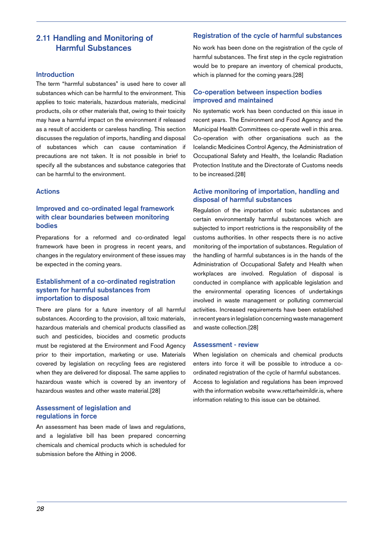# **2.11 Handling and Monitoring of Harmful Substances**

### **Introduction**

The term "harmful substances" is used here to cover all substances which can be harmful to the environment. This applies to toxic materials, hazardous materials, medicinal products, oils or other materials that, owing to their toxicity may have a harmful impact on the environment if released as a result of accidents or careless handling. This section discusses the regulation of imports, handling and disposal of substances which can cause contamination if precautions are not taken. It is not possible in brief to specify all the substances and substance categories that can be harmful to the environment.

## **Actions**

## **Improved and co-ordinated legal framework with clear boundaries between monitoring bodies**

Preparations for a reformed and co-ordinated legal framework have been in progress in recent years, and changes in the regulatory environment of these issues may be expected in the coming years.

## **Establishment of a co-ordinated registration system for harmful substances from importation to disposal**

There are plans for a future inventory of all harmful substances. According to the provision, all toxic materials, hazardous materials and chemical products classified as such and pesticides, biocides and cosmetic products must be registered at the Environment and Food Agency prior to their importation, marketing or use. Materials covered by legislation on recycling fees are registered when they are delivered for disposal. The same applies to hazardous waste which is covered by an inventory of hazardous wastes and other waste material.[28]

## **Assessment of legislation and regulations in force**

An assessment has been made of laws and regulations, and a legislative bill has been prepared concerning chemicals and chemical products which is scheduled for submission before the Althing in 2006.

#### **Registration of the cycle of harmful substances**

No work has been done on the registration of the cycle of harmful substances. The first step in the cycle registration would be to prepare an inventory of chemical products, which is planned for the coming years.[28]

## **Co-operation between inspection bodies improved and maintained**

No systematic work has been conducted on this issue in recent years. The Environment and Food Agency and the Municipal Health Committees co-operate well in this area. Co-operation with other organisations such as the Icelandic Medicines Control Agency, the Administration of Occupational Safety and Health, the Icelandic Radiation Protection Institute and the Directorate of Customs needs to be increased.[28]

## **Active monitoring of importation, handling and disposal of harmful substances**

Regulation of the importation of toxic substances and certain environmentally harmful substances which are subjected to import restrictions is the responsibility of the customs authorities. In other respects there is no active monitoring of the importation of substances. Regulation of the handling of harmful substances is in the hands of the Administration of Occupational Safety and Health when workplaces are involved. Regulation of disposal is conducted in compliance with applicable legislation and the environmental operating licences of undertakings involved in waste management or polluting commercial activities. Increased requirements have been established in recent years in legislation concerning waste management and waste collection.[28]

#### **Assessment - review**

When legislation on chemicals and chemical products enters into force it will be possible to introduce a coordinated registration of the cycle of harmful substances. Access to legislation and regulations has been improved with the information website www.rettarheimildir.is, where information relating to this issue can be obtained.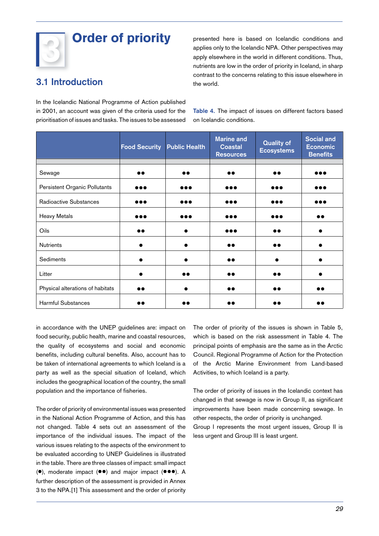# Order of priority

presented here is based on Icelandic conditions and applies only to the Icelandic NPA. Other perspectives may apply elsewhere in the world in different conditions. Thus, nutrients are low in the order of priority in Iceland, in sharp contrast to the concerns relating to this issue elsewhere in the world.

# **3.1 Introduction**

In the Icelandic National Programme of Action published in 2001, an account was given of the criteria used for the prioritisation of issues and tasks. The issues to be assessed

**Table 4.** The impact of issues on different factors based on Icelandic conditions.

|                                  | <b>Food Security Public Health</b> |                         | <b>Marine and</b><br><b>Coastal</b><br><b>Resources</b> | <b>Quality of</b><br><b>Ecosystems</b> | <b>Social and</b><br><b>Economic</b><br><b>Benefits</b> |
|----------------------------------|------------------------------------|-------------------------|---------------------------------------------------------|----------------------------------------|---------------------------------------------------------|
| Sewage                           | $\bullet\bullet$                   | $\bullet\bullet$        | $\bullet\bullet$                                        | $\bullet\bullet$                       |                                                         |
| Persistent Organic Pollutants    | $\bullet\bullet\bullet$            | $\bullet\bullet\bullet$ | $\bullet\bullet\bullet$                                 | $\bullet\bullet\bullet$                |                                                         |
| Radioactive Substances           | ,,,                                | $\bullet\bullet\bullet$ |                                                         | $\bullet\bullet\bullet$                | .                                                       |
| <b>Heavy Metals</b>              | ,,,                                | $\bullet\bullet\bullet$ |                                                         | $\bullet\bullet\bullet$                | D O                                                     |
| Oils                             | ∙∙                                 |                         | .                                                       |                                        |                                                         |
| <b>Nutrients</b>                 |                                    |                         | ∙∙                                                      |                                        |                                                         |
| Sediments                        |                                    |                         | ••                                                      |                                        |                                                         |
| Litter                           |                                    | $\bullet\bullet$        |                                                         |                                        |                                                         |
| Physical alterations of habitats |                                    | $\bullet$               | $\bullet\bullet$                                        |                                        | ••                                                      |
| <b>Harmful Substances</b>        | ∙                                  | . .                     | ه (                                                     |                                        | ∙                                                       |

in accordance with the UNEP guidelines are: impact on food security, public health, marine and coastal resources, the quality of ecosystems and social and economic benefits, including cultural benefits. Also, account has to be taken of international agreements to which Iceland is a party as well as the special situation of Iceland, which includes the geographical location of the country, the small population and the importance of fisheries.

The order of priority of environmental issues was presented in the National Action Programme of Action, and this has not changed. Table 4 sets out an assessment of the importance of the individual issues. The impact of the various issues relating to the aspects of the environment to be evaluated according to UNEP Guidelines is illustrated in the table. There are three classes of impact: small impact (●), moderate impact (●●) and major impact (●●●). A further description of the assessment is provided in Annex 3 to the NPA.[1] This assessment and the order of priority The order of priority of the issues is shown in Table 5, which is based on the risk assessment in Table 4. The principal points of emphasis are the same as in the Arctic Council. Regional Programme of Action for the Protection of the Arctic Marine Environment from Land-based Activities, to which Iceland is a party.

The order of priority of issues in the Icelandic context has changed in that sewage is now in Group II, as significant improvements have been made concerning sewage. In other respects, the order of priority is unchanged.

Group I represents the most urgent issues, Group II is less urgent and Group III is least urgent.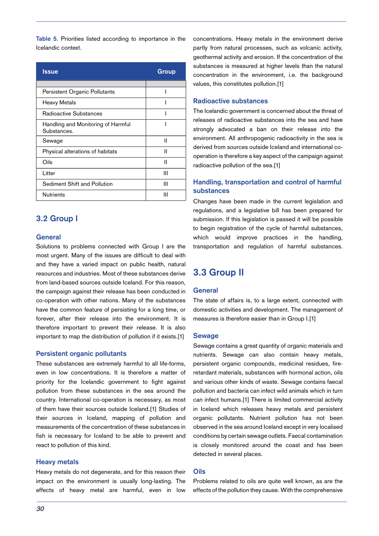**Table 5.** Priorities listed according to importance in the Icelandic context.

| <b>Issue</b>                                      | Group |
|---------------------------------------------------|-------|
|                                                   |       |
| Persistent Organic Pollutants                     |       |
| Heavy Metals                                      |       |
| Radioactive Substances                            |       |
| Handling and Monitoring of Harmful<br>Substances. |       |
| Sewage                                            | Ш     |
| Physical alterations of habitats                  | Ш     |
| Oils                                              | Ш     |
| Litter                                            | Ш     |
| Sediment Shift and Pollution                      | Ш     |
| <b>Nutrients</b>                                  | Ш     |

## **3.2 Group I**

#### **General**

Solutions to problems connected with Group I are the most urgent. Many of the issues are difficult to deal with and they have a varied impact on public health, natural resources and industries. Most of these substances derive from land-based sources outside Iceland. For this reason, the campaign against their release has been conducted in co-operation with other nations. Many of the substances have the common feature of persisting for a long time, or forever, after their release into the environment. It is therefore important to prevent their release. It is also important to map the distribution of pollution if it exists.[1]

#### **Persistent organic pollutants**

These substances are extremely harmful to all life-forms, even in low concentrations. It is therefore a matter of priority for the Icelandic government to fight against pollution from these substances in the sea around the country. International co-operation is necessary, as most of them have their sources outside Iceland.[1] Studies of their sources in Iceland, mapping of pollution and measurements of the concentration of these substances in fish is necessary for Iceland to be able to prevent and react to pollution of this kind.

#### **Heavy metals**

Heavy metals do not degenerate, and for this reason their impact on the environment is usually long-lasting. The effects of heavy metal are harmful, even in low concentrations. Heavy metals in the environment derive partly from natural processes, such as volcanic activity, geothermal activity and erosion. If the concentration of the substances is measured at higher levels than the natural concentration in the environment, i.e. the background values, this constitutes pollution.[1]

#### **Radioactive substances**

The Icelandic government is concerned about the threat of releases of radioactive substances into the sea and have strongly advocated a ban on their release into the environment. All anthropogenic radioactivity in the sea is derived from sources outside Iceland and international cooperation is therefore a key aspect of the campaign against radioactive pollution of the sea.[1]

## **Handling, transportation and control of harmful substances**

Changes have been made in the current legislation and regulations, and a legislative bill has been prepared for submission. If this legislation is passed it will be possible to begin registration of the cycle of harmful substances, which would improve practices in the handling, transportation and regulation of harmful substances.

# **3.3 Group II**

## **General**

The state of affairs is, to a large extent, connected with domestic activities and development. The management of measures is therefore easier than in Group I.[1]

#### **Sewage**

Sewage contains a great quantity of organic materials and nutrients. Sewage can also contain heavy metals, persistent organic compounds, medicinal residues, fireretardant materials, substances with hormonal action, oils and various other kinds of waste. Sewage contains faecal pollution and bacteria can infect wild animals which in turn can infect humans.[1] There is limited commercial activity in Iceland which releases heavy metals and persistent organic pollutants. Nutrient pollution has not been observed in the sea around Iceland except in very localised conditions by certain sewage outlets. Faecal contamination is closely monitored around the coast and has been detected in several places.

#### **Oils**

Problems related to oils are quite well known, as are the effects of the pollution they cause. With the comprehensive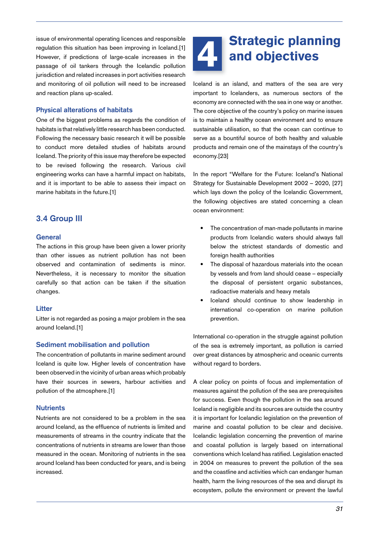issue of environmental operating licences and responsible regulation this situation has been improving in Iceland.[1] However, if predictions of large-scale increases in the passage of oil tankers through the Icelandic pollution jurisdiction and related increases in port activities research and monitoring of oil pollution will need to be increased and reaction plans up-scaled.

## **Physical alterations of habitats**

One of the biggest problems as regards the condition of habitats is that relatively little research has been conducted. Following the necessary basic research it will be possible to conduct more detailed studies of habitats around Iceland. The priority of this issue may therefore be expected to be revised following the research. Various civil engineering works can have a harmful impact on habitats, and it is important to be able to assess their impact on marine habitats in the future.[1]

# **3.4 Group III**

#### **General**

The actions in this group have been given a lower priority than other issues as nutrient pollution has not been observed and contamination of sediments is minor. Nevertheless, it is necessary to monitor the situation carefully so that action can be taken if the situation changes.

## **Litter**

Litter is not regarded as posing a major problem in the sea around Iceland.[1]

## **Sediment mobilisation and pollution**

The concentration of pollutants in marine sediment around Iceland is quite low. Higher levels of concentration have been observed in the vicinity of urban areas which probably have their sources in sewers, harbour activities and pollution of the atmosphere.[1]

## **Nutrients**

Nutrients are not considered to be a problem in the sea around Iceland, as the effluence of nutrients is limited and measurements of streams in the country indicate that the concentrations of nutrients in streams are lower than those measured in the ocean. Monitoring of nutrients in the sea around Iceland has been conducted for years, and is being increased.

# Strategic planning and objectives

Iceland is an island, and matters of the sea are very important to Icelanders, as numerous sectors of the economy are connected with the sea in one way or another. The core objective of the country's policy on marine issues is to maintain a healthy ocean environment and to ensure sustainable utilisation, so that the ocean can continue to serve as a bountiful source of both healthy and valuable products and remain one of the mainstays of the country's economy.[23]

In the report "Welfare for the Future: Iceland's National Strategy for Sustainable Development 2002 – 2020, [27] which lays down the policy of the Icelandic Government, the following objectives are stated concerning a clean ocean environment:

- The concentration of man-made pollutants in marine products from Icelandic waters should always fall below the strictest standards of domestic and foreign health authorities •
- The disposal of hazardous materials into the ocean by vessels and from land should cease – especially the disposal of persistent organic substances, radioactive materials and heavy metals •
- Iceland should continue to show leadership in international co-operation on marine pollution prevention. •

International co-operation in the struggle against pollution of the sea is extremely important, as pollution is carried over great distances by atmospheric and oceanic currents without regard to borders.

A clear policy on points of focus and implementation of measures against the pollution of the sea are prerequisites for success. Even though the pollution in the sea around Iceland is negligible and its sources are outside the country it is important for Icelandic legislation on the prevention of marine and coastal pollution to be clear and decisive. Icelandic legislation concerning the prevention of marine and coastal pollution is largely based on international conventions which Iceland has ratified. Legislation enacted in 2004 on measures to prevent the pollution of the sea and the coastline and activities which can endanger human health, harm the living resources of the sea and disrupt its ecosystem, pollute the environment or prevent the lawful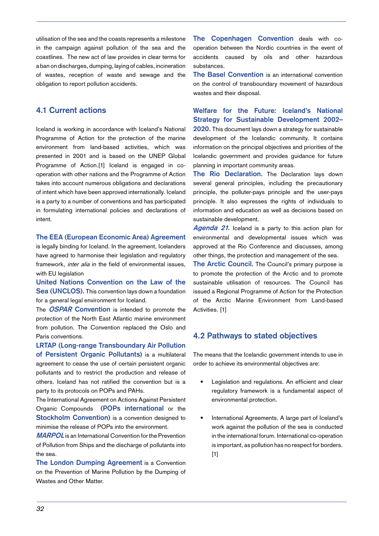utilisation of the sea and the coasts represents a milestone in the campaign against pollution of the sea and the coastlines. The new act of law provides in clear terms for a ban on discharges, dumping, laying of cables, incineration of wastes, reception of waste and sewage and the obligation to report pollution accidents.

# **4.1 Current actions**

Iceland is working in accordance with Iceland's National Programme of Action for the protection of the marine environment from land-based activities, which was presented in 2001 and is based on the UNEP Global Programme of Action.[1] Iceland is engaged in cooperation with other nations and the Programme of Action takes into account numerous obligations and declarations of intent which have been approved internationally. Iceland is a party to a number of conventions and has participated in formulating international policies and declarations of intent.

**The EEA (European Economic Area) Agreement**

is legally binding for Iceland. In the agreement, Icelanders have agreed to harmonise their legislation and regulatory framework, *inter alia* in the field of environmental issues. with EU legislation

**United Nations Convention on the Law of the Sea (UNCLOS).** This convention lays down a foundation for a general legal environment for Iceland.

The **OSPAR Convention** is intended to promote the protection of the North East Atlantic marine environment from pollution. The Convention replaced the Oslo and Paris conventions.

**LRTAP (Long-range Transboundary Air Pollution of Persistent Organic Pollutants)** is a multilateral agreement to cease the use of certain persistent organic pollutants and to restrict the production and release of others. Iceland has not ratified the convention but is a party to its protocols on POPs and PAHs.

The International Agreement on Actions Against Persistent Organic Compounds **(POPs international** or the **Stockholm Convention**) is a convention designed to minimise the release of POPs into the environment.

**MARPOL** is an International Convention for the Prevention of Pollution from Ships and the discharge of pollutants into the sea.

**The London Dumping Agreement** is a Convention on the Prevention of Marine Pollution by the Dumping of Wastes and Other Matter.

**The Copenhagen Convention** deals with cooperation between the Nordic countries in the event of accidents caused by oils and other hazardous substances.

**The Basel Convention** is an international convention on the control of transboundary movement of hazardous wastes and their disposal.

**Welfare for the Future: Iceland's National Strategy for Sustainable Development 2002–**

**2020.** This document lays down a strategy for sustainable development of the Icelandic community. It contains information on the principal objectives and priorities of the Icelandic government and provides guidance for future planning in important community areas.

**The Rio Declaration.** The Declaration lays down several general principles, including the precautionary principle, the polluter-pays principle and the user-pays principle. It also expresses the rights of individuals to information and education as well as decisions based on sustainable development.

**Agenda 21.** Iceland is a party to this action plan for environmental and developmental issues which was approved at the Rio Conference and discusses, among other things, the protection and management of the sea.

**The Arctic Council.** The Council's primary purpose is to promote the protection of the Arctic and to promote sustainable utilisation of resources. The Council has issued a Regional Programme of Action for the Protection of the Arctic Marine Environment from Land-based Activities. [1]

## **4.2 Pathways to stated objectives**

The means that the Icelandic government intends to use in order to achieve its environmental objectives are:

- Legislation and regulations. An efficient and clear regulatory framework is a fundamental aspect of environmental protection. •
- International Agreements. A large part of Iceland's work against the pollution of the sea is conducted in the international forum. International co-operation is important, as pollution has no respect for borders.  $[1]$ •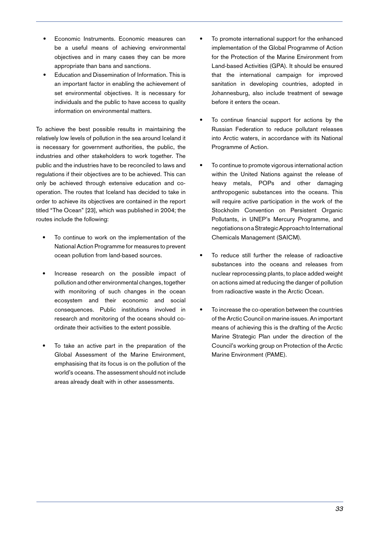- Economic Instruments. Economic measures can be a useful means of achieving environmental objectives and in many cases they can be more appropriate than bans and sanctions. •
- Education and Dissemination of Information. This is an important factor in enabling the achievement of set environmental objectives. It is necessary for individuals and the public to have access to quality information on environmental matters. •

To achieve the best possible results in maintaining the relatively low levels of pollution in the sea around Iceland it is necessary for government authorities, the public, the industries and other stakeholders to work together. The public and the industries have to be reconciled to laws and regulations if their objectives are to be achieved. This can only be achieved through extensive education and cooperation. The routes that Iceland has decided to take in order to achieve its objectives are contained in the report titled "The Ocean" [23], which was published in 2004; the routes include the following:

- To continue to work on the implementation of the National Action Programme for measures to prevent ocean pollution from land-based sources. •
- Increase research on the possible impact of pollution and other environmental changes, together with monitoring of such changes in the ocean ecosystem and their economic and social consequences. Public institutions involved in research and monitoring of the oceans should coordinate their activities to the extent possible. •
- To take an active part in the preparation of the Global Assessment of the Marine Environment, emphasising that its focus is on the pollution of the world's oceans. The assessment should not include areas already dealt with in other assessments. •
- To promote international support for the enhanced implementation of the Global Programme of Action for the Protection of the Marine Environment from Land-based Activities (GPA). It should be ensured that the international campaign for improved sanitation in developing countries, adopted in Johannesburg, also include treatment of sewage before it enters the ocean. •
- To continue financial support for actions by the Russian Federation to reduce pollutant releases into Arctic waters, in accordance with its National Programme of Action. •
- To continue to promote vigorous international action within the United Nations against the release of heavy metals, POPs and other damaging anthropogenic substances into the oceans. This will require active participation in the work of the Stockholm Convention on Persistent Organic Pollutants, in UNEP's Mercury Programme, and negotiations on a Strategic Approach to International Chemicals Management (SAICM). •
- To reduce still further the release of radioactive substances into the oceans and releases from nuclear reprocessing plants, to place added weight on actions aimed at reducing the danger of pollution from radioactive waste in the Arctic Ocean. •
- To increase the co-operation between the countries of the Arctic Council on marine issues. An important means of achieving this is the drafting of the Arctic Marine Strategic Plan under the direction of the Council's working group on Protection of the Arctic Marine Environment (PAME). •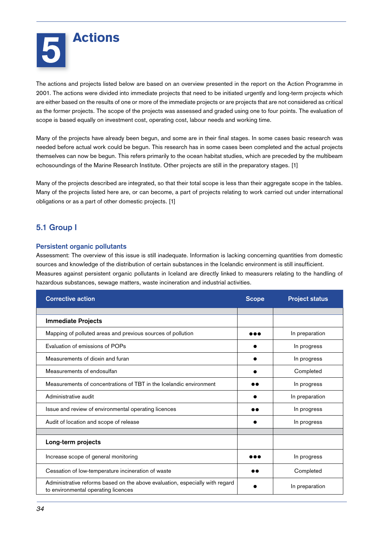The actions and projects listed below are based on an overview presented in the report on the Action Programme in 2001. The actions were divided into immediate projects that need to be initiated urgently and long-term projects which are either based on the results of one or more of the immediate projects or are projects that are not considered as critical as the former projects. The scope of the projects was assessed and graded using one to four points. The evaluation of scope is based equally on investment cost, operating cost, labour needs and working time.

Many of the projects have already been begun, and some are in their final stages. In some cases basic research was needed before actual work could be begun. This research has in some cases been completed and the actual projects themselves can now be begun. This refers primarily to the ocean habitat studies, which are preceded by the multibeam echosoundings of the Marine Research Institute. Other projects are still in the preparatory stages. [1]

Many of the projects described are integrated, so that their total scope is less than their aggregate scope in the tables. Many of the projects listed here are, or can become, a part of projects relating to work carried out under international obligations or as a part of other domestic projects. [1]

# **5.1 Group I**

## **Persistent organic pollutants**

Assessment: The overview of this issue is still inadequate. Information is lacking concerning quantities from domestic sources and knowledge of the distribution of certain substances in the Icelandic environment is still insufficient. Measures against persistent organic pollutants in Iceland are directly linked to measurers relating to the handling of hazardous substances, sewage matters, waste incineration and industrial activities.

| <b>Corrective action</b>                                                                                            | <b>Scope</b> | <b>Project status</b> |
|---------------------------------------------------------------------------------------------------------------------|--------------|-----------------------|
|                                                                                                                     |              |                       |
| <b>Immediate Projects</b>                                                                                           |              |                       |
| Mapping of polluted areas and previous sources of pollution                                                         |              | In preparation        |
| Evaluation of emissions of POPs                                                                                     |              | In progress           |
| Measurements of dioxin and furan                                                                                    |              | In progress           |
| Measurements of endosulfan                                                                                          |              | Completed             |
| Measurements of concentrations of TBT in the Icelandic environment                                                  |              | In progress           |
| Administrative audit                                                                                                |              | In preparation        |
| Issue and review of environmental operating licences                                                                |              | In progress           |
| Audit of location and scope of release                                                                              |              | In progress           |
|                                                                                                                     |              |                       |
| Long-term projects                                                                                                  |              |                       |
| Increase scope of general monitoring                                                                                |              | In progress           |
| Cessation of low-temperature incineration of waste                                                                  |              | Completed             |
| Administrative reforms based on the above evaluation, especially with regard<br>to environmental operating licences |              | In preparation        |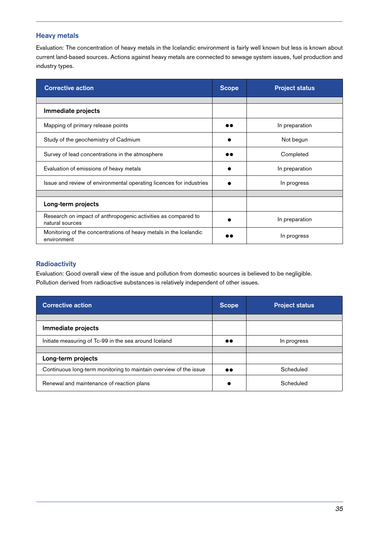## **Heavy metals**

Evaluation: The concentration of heavy metals in the Icelandic environment is fairly well known but less is known about current land-based sources. Actions against heavy metals are connected to sewage system issues, fuel production and industry types.

| <b>Corrective action</b>                                                         |  | <b>Project status</b> |
|----------------------------------------------------------------------------------|--|-----------------------|
|                                                                                  |  |                       |
| Immediate projects                                                               |  |                       |
| Mapping of primary release points                                                |  | In preparation        |
| Study of the geochemistry of Cadmium                                             |  | Not begun             |
| Survey of lead concentrations in the atmosphere                                  |  | Completed             |
| Evaluation of emissions of heavy metals                                          |  | In preparation        |
| Issue and review of environmental operating licences for industries              |  | In progress           |
|                                                                                  |  |                       |
| Long-term projects                                                               |  |                       |
| Research on impact of anthropogenic activities as compared to<br>natural sources |  | In preparation        |
| Monitoring of the concentrations of heavy metals in the Icelandic<br>environment |  | In progress           |

## **Radioactivity**

Evaluation: Good overall view of the issue and pollution from domestic sources is believed to be negligible. Pollution derived from radioactive substances is relatively independent of other issues.

| <b>Corrective action</b>                                          |                  | <b>Project status</b> |
|-------------------------------------------------------------------|------------------|-----------------------|
|                                                                   |                  |                       |
| Immediate projects                                                |                  |                       |
| Initiate measuring of Tc-99 in the sea around Iceland             |                  | In progress           |
|                                                                   |                  |                       |
| Long-term projects                                                |                  |                       |
| Continuous long-term monitoring to maintain overview of the issue | $\bullet\bullet$ | Scheduled             |
| Renewal and maintenance of reaction plans                         |                  | Scheduled             |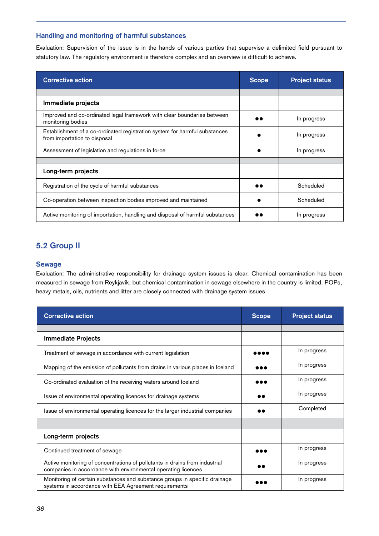## **Handling and monitoring of harmful substances**

Evaluation: Supervision of the issue is in the hands of various parties that supervise a delimited field pursuant to statutory law. The regulatory environment is therefore complex and an overview is difficult to achieve.

| <b>Corrective action</b>                                                                                   | <b>Scope</b> | <b>Project status</b> |
|------------------------------------------------------------------------------------------------------------|--------------|-----------------------|
|                                                                                                            |              |                       |
| Immediate projects                                                                                         |              |                       |
| Improved and co-ordinated legal framework with clear boundaries between<br>monitoring bodies               |              | In progress           |
| Establishment of a co-ordinated registration system for harmful substances<br>from importation to disposal |              | In progress           |
| Assessment of legislation and regulations in force                                                         |              | In progress           |
|                                                                                                            |              |                       |
| Long-term projects                                                                                         |              |                       |
| Registration of the cycle of harmful substances                                                            |              | Scheduled             |
| Co-operation between inspection bodies improved and maintained                                             |              | Scheduled             |
| Active monitoring of importation, handling and disposal of harmful substances                              |              | In progress           |

# **5.2 Group II**

## **Sewage**

Evaluation: The administrative responsibility for drainage system issues is clear. Chemical contamination has been measured in sewage from Reykjavík, but chemical contamination in sewage elsewhere in the country is limited. POPs, heavy metals, oils, nutrients and litter are closely connected with drainage system issues

| <b>Corrective action</b>                                                                                                                     | <b>Scope</b> | <b>Project status</b> |
|----------------------------------------------------------------------------------------------------------------------------------------------|--------------|-----------------------|
|                                                                                                                                              |              |                       |
| <b>Immediate Projects</b>                                                                                                                    |              |                       |
| Treatment of sewage in accordance with current legislation                                                                                   |              | In progress           |
| Mapping of the emission of pollutants from drains in various places in Iceland                                                               |              | In progress           |
| Co-ordinated evaluation of the receiving waters around Iceland                                                                               |              | In progress           |
| Issue of environmental operating licences for drainage systems                                                                               |              | In progress           |
| Issue of environmental operating licences for the larger industrial companies                                                                |              | Completed             |
|                                                                                                                                              |              |                       |
| Long-term projects                                                                                                                           |              |                       |
| Continued treatment of sewage                                                                                                                |              | In progress           |
| Active monitoring of concentrations of pollutants in drains from industrial<br>companies in accordance with environmental operating licences |              | In progress           |
| Monitoring of certain substances and substance groups in specific drainage<br>systems in accordance with EEA Agreement requirements          |              | In progress           |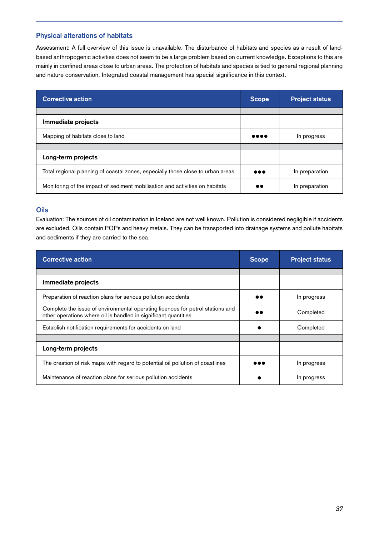## **Physical alterations of habitats**

Assessment: A full overview of this issue is unavailable. The disturbance of habitats and species as a result of landbased anthropogenic activities does not seem to be a large problem based on current knowledge. Exceptions to this are mainly in confined areas close to urban areas. The protection of habitats and species is tied to general regional planning and nature conservation. Integrated coastal management has special significance in this context.

| <b>Corrective action</b>                                                        | <b>Scope</b>                   | <b>Project status</b> |
|---------------------------------------------------------------------------------|--------------------------------|-----------------------|
|                                                                                 |                                |                       |
| Immediate projects                                                              |                                |                       |
| Mapping of habitats close to land                                               | $\bullet\bullet\bullet\bullet$ | In progress           |
|                                                                                 |                                |                       |
| Long-term projects                                                              |                                |                       |
| Total regional planning of coastal zones, especially those close to urban areas | $\bullet\bullet\bullet$        | In preparation        |
| Monitoring of the impact of sediment mobilisation and activities on habitats    | $\bullet\bullet$               | In preparation        |

#### **Oils**

Evaluation: The sources of oil contamination in Iceland are not well known. Pollution is considered negligible if accidents are excluded. Oils contain POPs and heavy metals. They can be transported into drainage systems and pollute habitats and sediments if they are carried to the sea.

| <b>Corrective action</b>                                                                                                                          | <b>Scope</b> | <b>Project status</b> |
|---------------------------------------------------------------------------------------------------------------------------------------------------|--------------|-----------------------|
|                                                                                                                                                   |              |                       |
| Immediate projects                                                                                                                                |              |                       |
| Preparation of reaction plans for serious pollution accidents                                                                                     |              | In progress           |
| Complete the issue of environmental operating licences for petrol stations and<br>other operations where oil is handled in significant quantities |              | Completed             |
| Establish notification requirements for accidents on land                                                                                         |              | Completed             |
|                                                                                                                                                   |              |                       |
| Long-term projects                                                                                                                                |              |                       |
| The creation of risk maps with regard to potential oil pollution of coastlines                                                                    | 8 & A        | In progress           |
| Maintenance of reaction plans for serious pollution accidents                                                                                     |              | In progress           |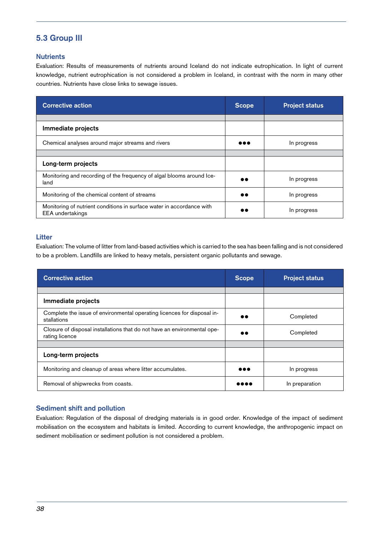# **5.3 Group III**

## **Nutrients**

Evaluation: Results of measurements of nutrients around Iceland do not indicate eutrophication. In light of current knowledge, nutrient eutrophication is not considered a problem in Iceland, in contrast with the norm in many other countries. Nutrients have close links to sewage issues.

| <b>Corrective action</b>                                                                         | <b>Scope</b> | <b>Project status</b> |
|--------------------------------------------------------------------------------------------------|--------------|-----------------------|
|                                                                                                  |              |                       |
| Immediate projects                                                                               |              |                       |
| Chemical analyses around major streams and rivers                                                |              | In progress           |
|                                                                                                  |              |                       |
| Long-term projects                                                                               |              |                       |
| Monitoring and recording of the frequency of algal blooms around Ice-<br>land                    | $\bullet$    | In progress           |
| Monitoring of the chemical content of streams                                                    | $\bullet$    | In progress           |
| Monitoring of nutrient conditions in surface water in accordance with<br><b>EEA</b> undertakings |              | In progress           |

## **Litter**

Evaluation: The volume of litter from land-based activities which is carried to the sea has been falling and is not considered to be a problem. Landfills are linked to heavy metals, persistent organic pollutants and sewage.

| <b>Corrective action</b>                                                                   | <b>Scope</b>            | <b>Project status</b> |
|--------------------------------------------------------------------------------------------|-------------------------|-----------------------|
|                                                                                            |                         |                       |
| Immediate projects                                                                         |                         |                       |
| Complete the issue of environmental operating licences for disposal in-<br>stallations     |                         | Completed             |
| Closure of disposal installations that do not have an environmental ope-<br>rating licence | $\bullet\bullet$        | Completed             |
|                                                                                            |                         |                       |
| Long-term projects                                                                         |                         |                       |
| Monitoring and cleanup of areas where litter accumulates.                                  | $\bullet\bullet\bullet$ | In progress           |
| Removal of shipwrecks from coasts.                                                         |                         | In preparation        |

## **Sediment shift and pollution**

Evaluation: Regulation of the disposal of dredging materials is in good order. Knowledge of the impact of sediment mobilisation on the ecosystem and habitats is limited. According to current knowledge, the anthropogenic impact on sediment mobilisation or sediment pollution is not considered a problem.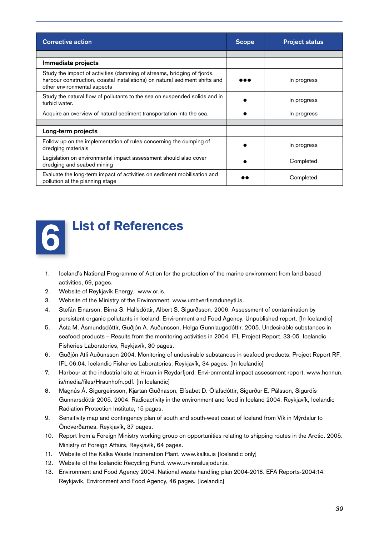| <b>Corrective action</b>                                                                                                                                                              | <b>Scope</b> | <b>Project status</b> |
|---------------------------------------------------------------------------------------------------------------------------------------------------------------------------------------|--------------|-----------------------|
|                                                                                                                                                                                       |              |                       |
| Immediate projects                                                                                                                                                                    |              |                       |
| Study the impact of activities (damming of streams, bridging of fjords,<br>harbour construction, coastal installations) on natural sediment shifts and<br>other environmental aspects |              | In progress           |
| Study the natural flow of pollutants to the sea on suspended solids and in<br>turbid water.                                                                                           |              | In progress           |
| Acquire an overview of natural sediment transportation into the sea.                                                                                                                  |              | In progress           |
|                                                                                                                                                                                       |              |                       |
| Long-term projects                                                                                                                                                                    |              |                       |
| Follow up on the implementation of rules concerning the dumping of<br>dredging materials                                                                                              |              | In progress           |
| Legislation on environmental impact assessment should also cover<br>dredging and seabed mining                                                                                        |              | Completed             |
| Evaluate the long-term impact of activities on sediment mobilisation and<br>pollution at the planning stage                                                                           |              | Completed             |



- 1. Iceland's National Programme of Action for the protection of the marine environment from land-based activities, 69, pages.
- 2. Website of Reykjavík Energy. www.or.is.
- 3. Website of the Ministry of the Environment. www.umhverfisraduneyti.is.
- 4. Stefán Einarson, Birna S. Hallsdóttir, Albert S. Sigurðsson. 2006. Assessment of contamination by persistent organic pollutants in Iceland. Environment and Food Agency. Unpublished report. [In Icelandic]
- 5. Ásta M. Ásmundsdóttir, Guðjón A. Auðunsson, Helga Gunnlaugsdóttir. 2005. Undesirable substances in seafood products – Results from the monitoring activities in 2004. IFL Project Report. 33-05. Icelandic Fisheries Laboratories, Reykjavík, 30 pages.
- 6. Guðjón Atli Auðunsson 2004. Monitoring of undesirable substances in seafood products. Project Report RF, IFL 06.04. Icelandic Fisheries Laboratories. Reykjavík, 34 pages. [In Icelandic]
- 7. Harbour at the industrial site at Hraun in Reydarfjord. Environmental impact assessment report. www.honnun. is/media/files/Hraunhofn.pdf. [In Icelandic]
- 8. Magnús Á. Sigurgeirsson, Kjartan Guðnason, Elísabet D. Ólafsdóttir, Sigurður E. Pálsson, Sigurdís Gunnarsdóttir 2005. 2004. Radioactivity in the environment and food in Iceland 2004. Reykjavík, Icelandic Radiation Protection Institute, 15 pages.
- 9. Sensitivity map and contingency plan of south and south-west coast of Iceland from Vík in Mýrdalur to Öndverðarnes. Reykjavík, 37 pages.
- 10. Report from a Foreign Ministry working group on opportunities relating to shipping routes in the Arctic. 2005. Ministry of Foreign Affairs, Reykjavík, 64 pages.
- 11. Website of the Kalka Waste Incineration Plant. www.kalka.is [Icelandic only]
- 12. Website of the Icelandic Recycling Fund. www.urvinnslusjodur.is.
- 13. Environment and Food Agency 2004. National waste handling plan 2004-2016. EFA Reports-2004:14. Reykjavík, Environment and Food Agency, 46 pages. [Icelandic]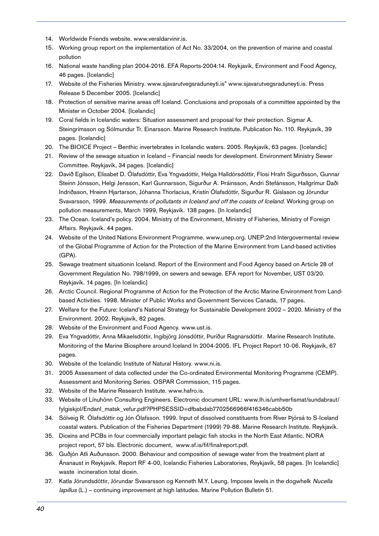- 14. Worldwide Friends website. www.veraldarvinir.is.
- 15. Working group report on the implementation of Act No. 33/2004, on the prevention of marine and coastal pollution
- 16. National waste handling plan 2004-2016. EFA Reports-2004:14. Reykjavík, Environment and Food Agency, 46 pages. [Icelandic]
- 17. Website of the Fisheries Ministry. www.sjavarutvegsraduneyti.is" www.sjavarutvegsraduneyti.is. Press Release 5 December 2005. [Icelandic]
- 18. Protection of sensitive marine areas off Iceland. Conclusions and proposals of a committee appointed by the Minister in October 2004. [Icelandic]
- 19. Coral fields in Icelandic waters: Situation assessment and proposal for their protection. Sigmar A. Steingrímsson og Sólmundur Tr. Einarsson. Marine Research Institute. Publication No. 110. Reykjavík, 39 pages. [Icelandic]
- 20. The BIOICE Project Benthic invertebrates in Icelandic waters. 2005. Reykjavík, 63 pages. [Icelandic]
- 21. Review of the sewage situation in Iceland Financial needs for development. Environment Ministry Sewer Committee. Reykjavík, 34 pages. [Icelandic]
- 22. Davíð Egilson, Elísabet D. Ólafsdóttir, Eva Yngvadóttir, Helga Halldórsdóttir, Flosi Hrafn Sigurðsson, Gunnar Steinn Jónsson, Helgi Jensson, Karl Gunnarsson, Sigurður A. Þráinsson, Andri Stefánsson, Hallgrímur Daði Indriðason, Hreinn Hjartarson, Jóhanna Thorlacius, Kristín Ólafsdóttir, Sigurður R. Gíslason og Jörundur Svavarsson, 1999. Measurements of pollutants in Iceland and off the coasts of Iceland. Working group on pollution measurements, March 1999, Reykjavík. 138 pages. [In Icelandic]
- 23. The Ocean. Iceland's policy. 2004. Ministry of the Environment, Ministry of Fisheries, Ministry of Foreign Affairs. Reykjavík. 44 pages.
- 24. Website of the United Nations Environment Programme. www.unep.org. UNEP:2nd Intergovermental review of the Global Programme of Action for the Protection of the Marine Environment from Land-based activities (GPA).
- 25. Sewage treatment situationin Iceland. Report of the Environment and Food Agency based on Article 28 of Government Regulation No. 798/1999, on sewers and sewage. EFA report for November, UST 03/20. Reykjavík. 14 pages. [In Icelandic]
- 26. Arctic Council. Regional Programme of Action for the Protection of the Arctic Marine Environment from Landbased Activities. 1998. Minister of Public Works and Government Services Canada, 17 pages.
- 27. Welfare for the Future: Iceland's National Strategy for Sustainable Development 2002 2020. Ministry of the Environment. 2002. Reykjavík, 82 pages.
- 28. Website of the Environment and Food Agency. www.ust.is.
- 29. Eva Yngvadóttir, Anna Mikaelsdóttir, Ingibjörg Jónsdóttir, Þuríður Ragnarsdóttir. Marine Research Institute. Monitoring of the Marine Biosphere around Iceland In 2004-2005. IFL Project Report 10-06. Reykjavík, 67 pages.
- 30. Website of the Icelandic Institute of Natural History. www.ni.is.
- 31. 2005 Assessment of data collected under the Co-ordinated Environmental Monitoring Programme (CEMP). Assessment and Monitoring Series. OSPAR Commission, 115 pages.
- 32. Website of the Marine Research Institute. www.hafro.is.
- 33. Website of Línuhönn Consulting Engineers. Electronic document URL: www.lh.is/umhverfismat/sundabraut/ fylgiskjol/Endanl\_matsk\_vefur.pdf?PHPSESSID=dfbabdab7702566966f416346cabb50b
- 34. Sólveig R. Ólafsdóttir og Jón Ólafsson. 1999. Input of dissolved constituents from River Þjórsá to S-Iceland coastal waters. Publication of the Fisheries Department (1999) 79-88. Marine Research Institute. Reykjavík.
- 35. Dioxins and PCBs in four commercially important pelagic fish stocks in the North East Atlantic. NORA project report, 57 bls. Electronic document, www.sf.is/fif/finalreport.pdf.
- 36. Guðjón Atli Auðunsson. 2000. Behaviour and composition of sewage water from the treatment plant at Ánanaust in Reykjavík. Report RF 4-00, Icelandic Fisheries Laboratories, Reykjavík, 58 pages. [In Icelandic] waste incineration total dioxin.
- 37. Katla Jörundsdóttir, Jörundar Svavarsson og Kenneth M.Y. Leung. Imposex levels in the dogwhelk Nucella lapillus (L.) - continuing improvement at high latitudes. Marine Pollution Bulletin 51.